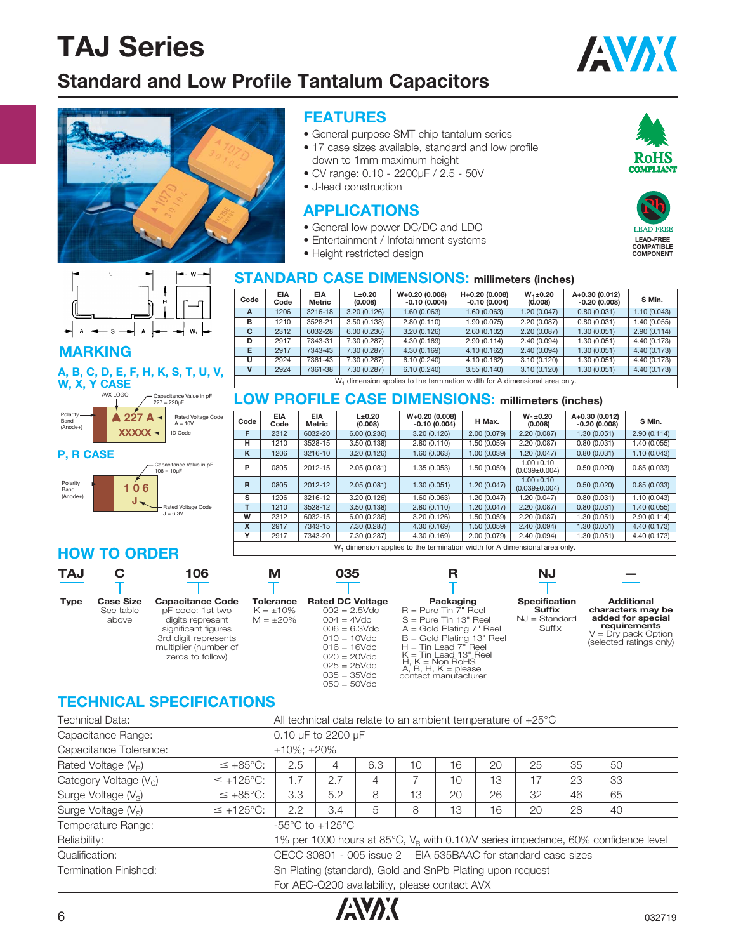## **Standard and Low Profile Tantalum Capacitors**







#### **MARKING**

#### **A, B, C, D, E, F, H, K, S, T, U, V, W, X, Y CASE**



#### **P, R CASE**



### **HOW TO ORDER**

### **FEATURES**

- General purpose SMT chip tantalum series
- 17 case sizes available, standard and low profile down to 1mm maximum height
- CV range: 0.10 2200μF / 2.5 50V
- J-lead construction

#### **APPLICATIONS**

- General low power DC/DC and LDO
- Entertainment / Infotainment systems
- Height restricted design

#### **STANDARD CASE DIMENSIONS: millimeters (inches)**

| Code        | <b>EIA</b><br>Code | <b>EIA</b><br><b>Metric</b> | $L\pm 0.20$<br>(0.008) | $W+0.20(0.008)$<br>$-0.10(0.004)$                                        | H+0.20 (0.008)<br>$-0.10(0.004)$ | $W_1 \pm 0.20$<br>(0.008) | A+0.30 (0.012)<br>$-0.20(0.008)$ | S Min.       |
|-------------|--------------------|-----------------------------|------------------------|--------------------------------------------------------------------------|----------------------------------|---------------------------|----------------------------------|--------------|
| A           | 1206               | 3216-18                     | 3.20(0.126)            | 1.60 (0.063)                                                             | 1.60 (0.063)                     | 1.20 (0.047)              | 0.80(0.031)                      | 1.10(0.043)  |
| в           | 1210               | 3528-21                     | 3.50(0.138)            | 2.80 (0.110)                                                             | 1.90 (0.075)                     | 2.20 (0.087)              | 0.80(0.031)                      | 1.40 (0.055) |
| C           | 2312               | 6032-28                     | 6.00(0.236)            | 3.20(0.126)                                                              | 2.60(0.102)                      | 2.20(0.087)               | 1.30(0.051)                      | 2.90(0.114)  |
| D           | 2917               | 7343-31                     | 7.30 (0.287)           | 4.30 (0.169)                                                             | 2.90(0.114)                      | 2.40 (0.094)              | 1.30 (0.051)                     | 4.40 (0.173) |
| Е           | 2917               | 7343-43                     | 7.30 (0.287)           | 4.30 (0.169)                                                             | 4.10 (0.162)                     | 2.40(0.094)               | 1.30(0.051)                      | 4.40 (0.173) |
| U           | 2924               | 7361-43                     | 7.30 (0.287)           | 6.10(0.240)                                                              | 4.10 (0.162)                     | 3.10(0.120)               | 1.30 (0.051)                     | 4.40 (0.173) |
| $\mathbf v$ | 2924               | 7361-38                     | 7.30 (0.287)           | 6.10(0.240)                                                              | 1.30(0.051)                      | 4.40 (0.173)              |                                  |              |
|             |                    |                             |                        | W dimension applies to the termination width for A dimensional area only |                                  |                           |                                  |              |

 $W_1$  dimension applies to the termination width for A dimensional area only.

#### **LOW PROFILE CASE DIMENSIONS: millimeters (inches)**

| Code                                                                                                 | <b>EIA</b><br>Code | <b>EIA</b><br><b>Metric</b> | $L_{\pm}0.20$<br>(0.008) | $W+0.20$ (0.008)<br>$-0.10(0.004)$                                                | H Max.       | $W_1 \pm 0.20$<br>(0.008)            | A+0.30 (0.012)<br>$-0.20(0.008)$ | S Min.       |
|------------------------------------------------------------------------------------------------------|--------------------|-----------------------------|--------------------------|-----------------------------------------------------------------------------------|--------------|--------------------------------------|----------------------------------|--------------|
| F                                                                                                    | 2312               | 6032-20                     | 6.00(0.236)              | 3.20(0.126)                                                                       | 2.00(0.079)  | 2.20 (0.087)                         | 1.30 (0.051)                     | 2.90(0.114)  |
| н                                                                                                    | 1210               | 3528-15                     | 3.50 (0.138)             | 2.80 (0.110)                                                                      | 1.50 (0.059) | 2.20 (0.087)                         | 0.80(0.031)                      | 1.40 (0.055) |
| ĸ                                                                                                    | 1206               | 3216-10                     | 3.20(0.126)              | 1.60 (0.063)                                                                      | 1.00(0.039)  | 1.20 (0.047)                         | 0.80(0.031)                      | 1.10(0.043)  |
| P                                                                                                    | 0805               | 2012-15                     | 2.05(0.081)              | 1.35 (0.053)                                                                      | 1.50 (0.059) | $1.00 + 0.10$<br>$(0.039 \pm 0.004)$ | 0.50(0.020)                      | 0.85(0.033)  |
| R                                                                                                    | 0805               | 2012-12                     | 2.05(0.081)              | 1.30(0.051)                                                                       | 1.20 (0.047) | $1.00 + 0.10$<br>$(0.039 \pm 0.004)$ | 0.50(0.020)                      | 0.85(0.033)  |
| s                                                                                                    | 1206               | 3216-12                     | 3.20(0.126)              | 1.60 (0.063)                                                                      | 1.20 (0.047) | 1.20 (0.047)                         | 0.80(0.031)                      | 1.10 (0.043) |
| т                                                                                                    | 1210               | 3528-12                     | 3.50(0.138)              | 2.80(0.110)                                                                       | 1.20 (0.047) | 2.20(0.087)                          | 0.80(0.031)                      | 1.40 (0.055) |
| W                                                                                                    | 2312               | 6032-15                     | 6.00(0.236)              | 3.20(0.126)                                                                       | 1.50 (0.059) | 2.20(0.087)                          | 1.30 (0.051)                     | 2.90(0.114)  |
| X                                                                                                    | 2917               | 7343-15                     | 7.30 (0.287)             | 4.30 (0.169)                                                                      | 1.50 (0.059) | 2.40 (0.094)                         | 1.30 (0.051)                     | 4.40 (0.173) |
| Y<br>7.30 (0.287)<br>4.30 (0.169)<br>2.00 (0.079)<br>2.40 (0.094)<br>1.30 (0.051)<br>2917<br>7343-20 |                    |                             |                          |                                                                                   |              |                                      |                                  |              |
|                                                                                                      |                    |                             |                          | 187 - Alipana da Angelina da dha damain atina ccidh dha A dinanacional ann a anto |              |                                      |                                  |              |

W<sub>1</sub> dimension applies to the termination width for A dimensional area only.

| <b>TAJ</b>  |                                        | 106                                                                                                                                                         | м                                             | 035                                                                                                                                                                                       | R                                                                                                                                                                                                                                                          | ΝJ                                                          |                                                                                                                                 |
|-------------|----------------------------------------|-------------------------------------------------------------------------------------------------------------------------------------------------------------|-----------------------------------------------|-------------------------------------------------------------------------------------------------------------------------------------------------------------------------------------------|------------------------------------------------------------------------------------------------------------------------------------------------------------------------------------------------------------------------------------------------------------|-------------------------------------------------------------|---------------------------------------------------------------------------------------------------------------------------------|
| <b>Type</b> | <b>Case Size</b><br>See table<br>above | <b>Capacitance Code</b><br>pF code: 1st two<br>digits represent<br>significant figures<br>3rd digit represents<br>multiplier (number of<br>zeros to follow) | Tolerance<br>$K = \pm 10\%$<br>$M = \pm 20\%$ | <b>Rated DC Voltage</b><br>$002 = 2.5$ Vdc<br>$004 = 4Vdc$<br>$006 = 6.3$ Vdc<br>$010 = 10$ Vdc<br>$016 = 16$ Vdc<br>$020 = 20$ Vdc<br>$025 = 25$ Vdc<br>$035 = 35$ Vdc<br>$050 = 50$ Vdc | Packaging<br>$R = P$ ure Tin 7" Reel<br>$S = P$ ure Tin 13" Reel<br>$A =$ Gold Plating $7"$ Reel<br>$B =$ Gold Plating 13" Reel<br>$H =$ Tin Lead 7" Reel<br>$K =$ Tin Lead 13" Reel<br>$H. K = Non RoHS$<br>$A, B, H, K =$ please<br>contact manufacturer | <b>Specification</b><br>Suffix<br>$NJ = Standard$<br>Suffix | <b>Additional</b><br>characters may be<br>added for special<br>requirements<br>$V = Dry$ pack Option<br>(selected ratings only) |

### **TECHNICAL SPECIFICATIONS**

| Technical Data:                                                                           |                       | All technical data relate to an ambient temperature of $+25^{\circ}$ C |                                                                                              |     |    |    |    |    |    |    |  |
|-------------------------------------------------------------------------------------------|-----------------------|------------------------------------------------------------------------|----------------------------------------------------------------------------------------------|-----|----|----|----|----|----|----|--|
| Capacitance Range:                                                                        |                       | 0.10 $\mu$ F to 2200 $\mu$ F                                           |                                                                                              |     |    |    |    |    |    |    |  |
| Capacitance Tolerance:                                                                    |                       | $±10\%; ±20\%$                                                         |                                                                                              |     |    |    |    |    |    |    |  |
| Rated Voltage $(V_R)$                                                                     | $\leq +85^{\circ}C$ : | 2.5                                                                    | 4                                                                                            | 6.3 | 10 | 16 | 20 | 25 | 35 | 50 |  |
| Category Voltage $(V_C)$                                                                  | $\leq$ +125°C:        | 1.7                                                                    | 2.7                                                                                          | 4   |    | 10 | 13 | 17 | 23 | 33 |  |
| Surge Voltage $(V_s)$                                                                     | $\leq +85^{\circ}C$ : | 3.3                                                                    | 5.2                                                                                          | 8   | 13 | 20 | 26 | 32 | 46 | 65 |  |
| Surge Voltage $(V_s)$                                                                     | $\leq$ +125°C:        | 2.2                                                                    | 3.4                                                                                          | 5   | 8  | 13 | 16 | 20 | 28 | 40 |  |
| Temperature Range:                                                                        |                       | $-55^{\circ}$ C to $+125^{\circ}$ C                                    |                                                                                              |     |    |    |    |    |    |    |  |
| Reliability:                                                                              |                       |                                                                        | 1% per 1000 hours at 85°C, $V_R$ with 0.1 $\Omega$ /V series impedance, 60% confidence level |     |    |    |    |    |    |    |  |
| Qualification:                                                                            |                       | CECC 30801 - 005 issue 2 EIA 535BAAC for standard case sizes           |                                                                                              |     |    |    |    |    |    |    |  |
| Sn Plating (standard), Gold and SnPb Plating upon request<br><b>Termination Finished:</b> |                       |                                                                        |                                                                                              |     |    |    |    |    |    |    |  |
| For AEC-Q200 availability, please contact AVX                                             |                       |                                                                        |                                                                                              |     |    |    |    |    |    |    |  |





ROHS

**COMPATIBLE COMPONENT**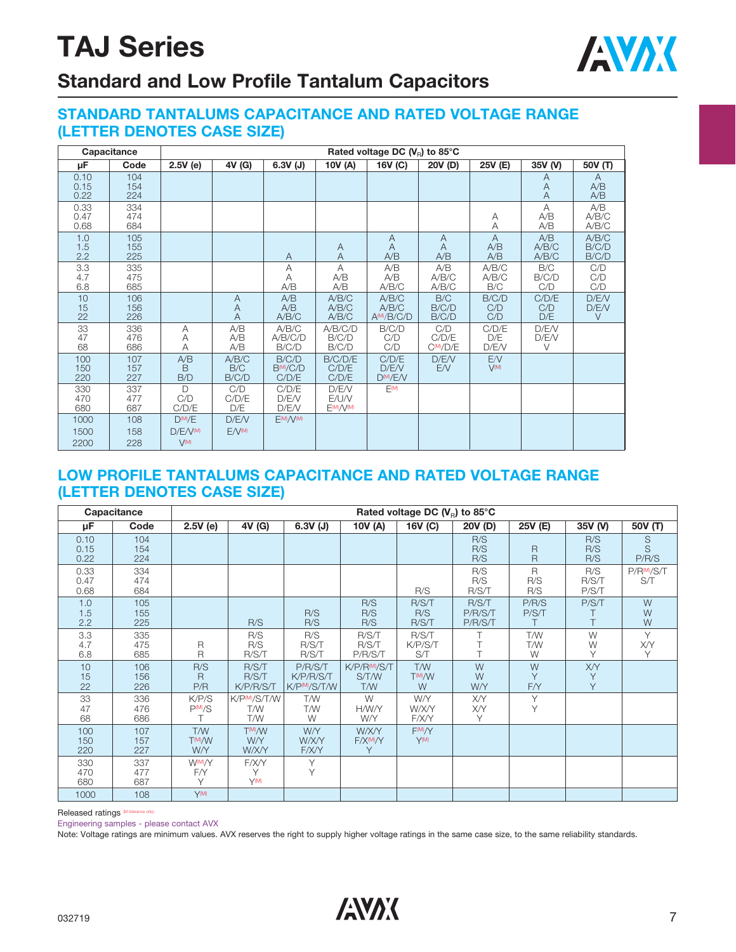

## **Standard and Low Profile Tantalum Capacitors**

#### **STANDARD TANTALUMS CAPACITANCE AND RATED VOLTAGE RANGE (LETTER DENOTES CASE SIZE)**

|                      | Capacitance       | Rated voltage DC $(V_{\rm B})$ to 85°C    |                       |                                         |                             |                                          |                        |                              |                          |                          |  |  |  |  |
|----------------------|-------------------|-------------------------------------------|-----------------------|-----------------------------------------|-----------------------------|------------------------------------------|------------------------|------------------------------|--------------------------|--------------------------|--|--|--|--|
| μF                   | Code              | 2.5V(e)                                   | 4V (G)                | $6.3V$ (J)                              | 10V (A)                     | 16V (C)                                  | 20V (D)                | 25V (E)                      | 35V (V)                  | 50V (T)                  |  |  |  |  |
| 0.10<br>0.15<br>0.22 | 104<br>154<br>224 |                                           |                       |                                         |                             |                                          |                        |                              | Α<br>A<br>$\overline{A}$ | A<br>A/B<br>A/B          |  |  |  |  |
| 0.33<br>0.47<br>0.68 | 334<br>474<br>684 |                                           |                       |                                         |                             |                                          |                        | Α<br>Α                       | A<br>A/B<br>A/B          | A/B<br>A/B/C<br>A/B/C    |  |  |  |  |
| 1.0<br>1.5<br>2.2    | 105<br>155<br>225 |                                           |                       | A                                       | A<br>$\overline{A}$         | A<br>A<br>A/B                            | A<br>A<br>A/B          | $\overline{A}$<br>A/B<br>A/B | A/B<br>A/B/C<br>A/B/C    | A/B/C<br>B/C/D<br>B/C/D  |  |  |  |  |
| 3.3<br>4.7<br>6.8    | 335<br>475<br>685 |                                           |                       | Α<br>A<br>A/B                           | A<br>A/B<br>A/B             | A/B<br>A/B<br>A/B/C                      | A/B<br>A/B/C<br>A/B/C  | A/B/C<br>A/B/C<br>B/C        | B/C<br>B/C/D<br>C/D      | C/D<br>C/D<br>C/D        |  |  |  |  |
| 10<br>15<br>22       | 106<br>156<br>226 |                                           | A<br>Α<br>A           | A/B<br>A/B<br>A/B/C                     | A/B/C<br>A/B/C<br>A/B/C     | A/B/C<br>A/B/C<br>A <sup>(M</sup> /B/C/D | B/C<br>B/C/D<br>B/C/D  | B/C/D<br>C/D<br>C/D          | C/D/E<br>C/D<br>D/E      | D/E/V<br>D/E/V<br>$\vee$ |  |  |  |  |
| 33<br>47<br>68       | 336<br>476<br>686 | А<br>Α<br>A                               | A/B<br>A/B<br>A/B     | A/B/C<br>A/B/C/D<br>B/C/D               | A/B/C/D<br>B/C/D<br>B/C/D   | B/C/D<br>C/D<br>C/D                      | C/D<br>C/D/E<br>CM/D/E | C/D/E<br>D/E<br>D/E/V        | D/FN<br>D/E/V<br>V       |                          |  |  |  |  |
| 100<br>150<br>220    | 107<br>157<br>227 | A/B<br><sub>R</sub><br>B/D                | A/B/C<br>B/C<br>B/C/D | B/C/D<br>B <sup>(M</sup> /C/D)<br>C/D/E | B/C/D/E<br>C/D/E<br>C/D/E   | C/D/E<br>D/E/V<br>D <sub>(M)</sub> /E/V  | D/FN<br>E/V            | E/V<br>$V^{(M)}$             |                          |                          |  |  |  |  |
| 330<br>470<br>680    | 337<br>477<br>687 | D<br>C/D<br>C/D/E                         | C/D<br>C/D/E<br>D/E   | C/D/E<br>D/FN<br>D/E/V                  | D/E/V<br>E/U/V<br>E(M)/V(M) | E(M)                                     |                        |                              |                          |                          |  |  |  |  |
| 1000<br>1500<br>2200 | 108<br>158<br>228 | $D^{(M)}/E$<br>$D/F/V^{(M)}$<br>$V^{(M)}$ | D/E/V<br>$E/V^{(M)}$  | $EM/\sqrt{M}$                           |                             |                                          |                        |                              |                          |                          |  |  |  |  |

#### **LOW PROFILE TANTALUMS CAPACITANCE AND RATED VOLTAGE RANGE (LETTER DENOTES CASE SIZE)**

|                      | Capacitance       | Rated voltage DC $(V_R)$ to 85°C         |                                            |                                                   |                                         |                                 |                             |                                |                       |                              |  |  |  |
|----------------------|-------------------|------------------------------------------|--------------------------------------------|---------------------------------------------------|-----------------------------------------|---------------------------------|-----------------------------|--------------------------------|-----------------------|------------------------------|--|--|--|
| μF                   | Code              | 2.5V(e)                                  | 4V (G)                                     | $6.3V$ (J)                                        | 10V (A)                                 | 16V (C)                         | 20V (D)                     | 25V (E)                        | 35V (V)               | 50V (T)                      |  |  |  |
| 0.10<br>0.15<br>0.22 | 104<br>154<br>224 |                                          |                                            |                                                   |                                         |                                 | R/S<br>R/S<br>R/S           | $\mathsf{R}$<br>$\overline{R}$ | R/S<br>R/S<br>R/S     | S<br>S<br>P/R/S              |  |  |  |
| 0.33<br>0.47<br>0.68 | 334<br>474<br>684 |                                          |                                            |                                                   |                                         | R/S                             | R/S<br>R/S<br>R/S/T         | R<br>R/S<br>R/S                | R/S<br>R/S/T<br>P/S/T | P/R <sup>M</sup> /S/T<br>S/T |  |  |  |
| 1.0<br>1.5<br>2.2    | 105<br>155<br>225 |                                          | R/S                                        | R/S<br>R/S                                        | R/S<br>R/S<br>R/S                       | R/S/T<br>R/S<br>R/S/T           | R/S/T<br>P/R/S/T<br>P/R/S/T | P/R/S<br>P/S/T<br>T.           | P/S/T<br>T            | W<br>W<br>W                  |  |  |  |
| 3.3<br>4.7<br>6.8    | 335<br>475<br>685 | $\overline{R}$<br>$\overline{R}$         | R/S<br>R/S<br>R/S/T                        | R/S<br>R/S/T<br>R/S/T                             | R/S/T<br>R/S/T<br>P/R/S/T               | R/S/T<br>K/P/S/T<br>S/T         |                             | T/W<br>T/W<br>W                | W<br>W<br>Υ           | Y<br>X/Y<br>Y                |  |  |  |
| 10<br>15<br>22       | 106<br>156<br>226 | R/S<br>R<br>P/R                          | R/S/T<br>R/S/T<br>K/P/R/S/T                | P/R/S/T<br>K/P/R/S/T<br>K/P <sup>(M)</sup> /S/T/W | K/P/R <sup>M</sup> /S/T<br>S/T/W<br>T/W | T/W<br>T <sup>(M)</sup> /W<br>W | W<br>W<br><b>W/Y</b>        | W<br>Y<br>F/Y                  | XY<br>Υ<br>Y          |                              |  |  |  |
| 33<br>47<br>68       | 336<br>476<br>686 | K/P/S<br>$P^{(M)}/S$                     | K/PM/S/T/W<br>T/W<br>T/W                   | T/W<br>T/W<br>W                                   | W<br><b>H/W/Y</b><br>W/Y                | <b>W/Y</b><br>W/X/Y<br>F/X/Y    | <b>X/Y</b><br>X/Y<br>Y      | Y<br>Y                         |                       |                              |  |  |  |
| 100<br>150<br>220    | 107<br>157<br>227 | T/W<br>T <sub>(M)</sub> /W<br><b>W/Y</b> | T <sup>(M)</sup> /W<br>W/Y<br><b>W/X/Y</b> | <b>WY</b><br>W/X/Y<br>F/X/Y                       | W/X/Y<br>F/XM/Y<br>Y                    | $F^{(M)}/Y$<br>$Y^{(M)}$        |                             |                                |                       |                              |  |  |  |
| 330<br>470<br>680    | 337<br>477<br>687 | W <sub>(M)</sub> /Y<br>F/Y<br>Υ          | F/X/Y<br>Υ<br>$Y^{(M)}$                    | Y<br>Y                                            |                                         |                                 |                             |                                |                       |                              |  |  |  |
| 1000                 | 108               | Y(M)                                     |                                            |                                                   |                                         |                                 |                             |                                |                       |                              |  |  |  |

Released ratings (M tolerance only)

Engineering samples - please contact AVX

Note: Voltage ratings are minimum values. AVX reserves the right to supply higher voltage ratings in the same case size, to the same reliability standards.

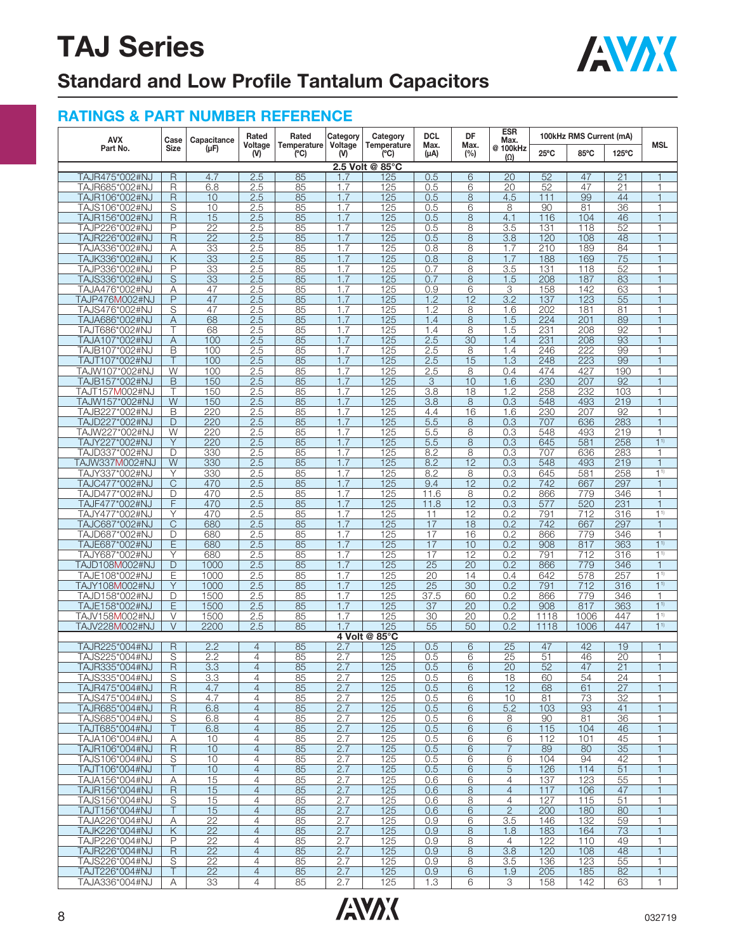

## **Standard and Low Profile Tantalum Capacitors**

| <b>AVX</b>                                | Case                | Capacitance             | Rated                            | Rated              | Category       | Category           | <b>DCL</b>            | DF<br>Max.            | <b>ESR</b><br>Max.                 |                | 100kHz RMS Current (mA) |            |                                  |
|-------------------------------------------|---------------------|-------------------------|----------------------------------|--------------------|----------------|--------------------|-----------------------|-----------------------|------------------------------------|----------------|-------------------------|------------|----------------------------------|
| Part No.                                  | <b>Size</b>         | $(\mu F)$               | Voltage<br>(N)                   | Temperature<br>(C) | Voltage<br>(V) | Temperature<br>(C) | Max.<br>$(\mu A)$     | (%)                   | @ 100kHz<br>$(\Omega)$             | $25^{\circ}$ C | 85°C                    | 125°C      | <b>MSL</b>                       |
|                                           |                     |                         |                                  |                    |                | 2.5 Volt @ 85°C    |                       |                       |                                    |                |                         |            |                                  |
| TAJR475*002#NJ                            | R                   | 4.7                     | 2.5                              | 85                 | 1.7            | 125                | 0.5                   | 6                     | 20                                 | 52             | 47                      | 21         | $\mathbf{1}$                     |
| TAJR685*002#NJ                            | R                   | 6.8                     | 2.5                              | 85                 | 1.7            | 125                | 0.5                   | 6                     | 20                                 | 52             | 47                      | 21         | $\mathbf{1}$                     |
| TAJR106*002#NJ<br>TAJS106*002#NJ          | $\mathsf{R}$<br>S   | 10<br>10                | 2.5<br>2.5                       | 85<br>85           | 1.7<br>1.7     | 125<br>125         | 0.5<br>0.5            | 8<br>6                | 4.5<br>8                           | 111<br>90      | 99<br>81                | 44<br>36   | $\mathbf{1}$<br>1                |
| TAJR156*002#NJ                            | $\mathsf R$         | 15                      | 2.5                              | 85                 | 1.7            | 125                | 0.5                   | 8                     | 4.1                                | 116            | 104                     | 46         | $\overline{1}$                   |
| TAJP226*002#NJ                            | P                   | 22                      | 2.5                              | 85                 | 1.7            | 125                | 0.5                   | 8                     | 3.5                                | 131            | 118                     | 52         | $\overline{1}$                   |
| TAJR226*002#NJ                            | $\mathsf{R}$        | $\overline{22}$         | 2.5                              | 85                 | 1.7            | 125                | 0.5                   | 8                     | $\overline{3.8}$                   | 120            | 108                     | 48         | $\overline{1}$                   |
| TAJA336*002#NJ                            | Α                   | 33                      | 2.5                              | 85                 | 1.7            | 125                | 0.8                   | 8                     | 1.7                                | 210            | 189                     | 84         | $\mathbf{1}$                     |
| TAJK336*002#NJ                            | Κ                   | 33                      | 2.5                              | 85                 | 1.7            | 125                | 0.8                   | 8                     | 1.7                                | 188            | 169                     | 75         | $\overline{1}$                   |
| TAJP336*002#NJ                            | P                   | $\overline{33}$         | 2.5                              | 85                 | 1.7            | 125                | 0.7                   | 8                     | $\overline{3.5}$                   | 131            | 118                     | 52         | $\overline{1}$                   |
| TAJS336*002#NJ                            | $\mathbf S$         | 33                      | 2.5                              | 85                 | 1.7            | 125                | 0.7                   | 8                     | 1.5                                | 208            | 187                     | 83         |                                  |
| TAJA476*002#NJ                            | Α<br>$\overline{P}$ | 47<br>47                | 2.5<br>2.5                       | 85<br>85           | 1.7<br>1.7     | 125<br>125         | 0.9<br>1.2            | 6<br>$\overline{12}$  | 3<br>$\overline{3.2}$              | 158<br>137     | 142<br>123              | 63<br>55   | 1<br>$\overline{1}$              |
| TAJP476M002#NJ<br>TAJS476*002#NJ          | S                   | 47                      | 2.5                              | 85                 | 1.7            | 125                | 1.2                   | 8                     | 1.6                                | 202            | 181                     | 81         | 1                                |
| TAJA686*002#NJ                            | Α                   | 68                      | 2.5                              | 85                 | 1.7            | 125                | 1.4                   | 8                     | 1.5                                | 224            | 201                     | 89         | $\mathbf{1}$                     |
| TAJT686*002#NJ                            |                     | 68                      | 2.5                              | 85                 | 1.7            | 125                | 1.4                   | 8                     | 1.5                                | 231            | 208                     | 92         | $\overline{1}$                   |
| TAJA107*002#NJ                            | Α                   | 100                     | 2.5                              | 85                 | 1.7            | 125                | 2.5                   | 30                    | 1.4                                | 231            | 208                     | 93         | $\overline{1}$                   |
| TAJB107*002#NJ                            | B                   | 100                     | 2.5                              | 85                 | 1.7            | 125                | 2.5                   | 8                     | 1.4                                | 246            | 222                     | 99         | $\overline{1}$                   |
| TAJT107*002#NJ                            | Τ                   | 100                     | 2.5                              | 85                 | 1.7            | 125                | 2.5                   | 15                    | 1.3                                | 248            | 223                     | 99         | 1                                |
| TAJW107*002#NJ                            | W                   | 100                     | 2.5                              | 85                 | 1.7            | 125                | 2.5                   | 8                     | 0.4                                | 474            | 427                     | 190        | $\mathbf{1}$                     |
| TAJB157*002#NJ                            | B<br>Τ              | 150                     | 2.5<br>2.5                       | 85<br>85           | 1.7<br>1.7     | 125<br>125         | 3<br>3.8              | 10<br>$\overline{18}$ | 1.6<br>1.2                         | 230<br>258     | 207<br>232              | 92<br>103  | $\overline{1}$<br>1              |
| TAJT157 <b>M</b> 002#NJ<br>TAJW157*002#NJ | W                   | 150<br>150              | 2.5                              | 85                 | 1.7            | 125                | 3.8                   | 8                     | 0.3                                | 548            | 493                     | 219        | $\overline{1}$                   |
| TAJB227*002#NJ                            | B                   | 220                     | 2.5                              | 85                 | 1.7            | 125                | 4.4                   | 16                    | 1.6                                | 230            | 207                     | 92         | $\overline{1}$                   |
| TAJD227*002#NJ                            | D                   | 220                     | 2.5                              | 85                 | 1.7            | 125                | 5.5                   | 8                     | 0.3                                | 707            | 636                     | 283        | $\overline{1}$                   |
| TAJW227*002#NJ                            | W                   | 220                     | 2.5                              | 85                 | 1.7            | 125                | 5.5                   | 8                     | 0.3                                | 548            | 493                     | 219        | $\mathbf{1}$                     |
| TAJY227*002#NJ                            | Y                   | 220                     | 2.5                              | 85                 | 1.7            | 125                | 5.5                   | 8                     | 0.3                                | 645            | 581                     | 258        | $1^{1}$                          |
| TAJD337*002#NJ                            | D                   | 330                     | 2.5                              | 85                 | 1.7            | 125                | 8.2                   | 8                     | 0.3                                | 707            | 636                     | 283        | $\overline{1}$                   |
| TAJW337M002#NJ                            | W                   | 330                     | 2.5                              | 85                 | 1.7            | 125                | 8.2                   | 12                    | 0.3                                | 548            | 493                     | 219        | $\overline{1}$                   |
| TAJY337*002#NJ<br>TAJC477*002#NJ          | Υ<br>$\mathsf{C}$   | 330                     | 2.5<br>2.5                       | 85<br>85           | 1.7<br>1.7     | 125<br>125         | 8.2<br>9.4            | 8<br>12               | 0.3                                | 645            | 581                     | 258<br>297 | 1 <sup>1</sup>                   |
| TAJD477*002#NJ                            | D                   | 470<br>470              | 2.5                              | 85                 | 1.7            | 125                | 11.6                  | 8                     | 0.2<br>0.2                         | 742<br>866     | 667<br>779              | 346        | $\mathbf{1}$<br>$\mathbf{1}$     |
| TAJF477*002#NJ                            | F                   | 470                     | 2.5                              | 85                 | 1.7            | 125                | 11.8                  | 12                    | 0.3                                | 577            | 520                     | 231        | $\overline{1}$                   |
| TAJY477*002#NJ                            | Ÿ                   | 470                     | 2.5                              | 85                 | 1.7            | 125                | 11                    | 12                    | 0.2                                | 791            | 712                     | 316        | 1 <sup>1</sup>                   |
| TAJC687*002#NJ                            | C                   | 680                     | 2.5                              | 85                 | 1.7            | 125                | 17                    | 18                    | 0.2                                | 742            | 667                     | 297        | $\overline{1}$                   |
| TAJD687*002#NJ                            | D                   | 680                     | 2.5                              | 85                 | 1.7            | 125                | 17                    | 16                    | 0.2                                | 866            | 779                     | 346        | $\mathbf{1}$                     |
| TAJE687*002#NJ                            | Ε                   | 680                     | 2.5                              | 85                 | 1.7            | 125                | 17                    | 10                    | 0.2                                | 908            | 817                     | 363        | 1 <sup>1</sup>                   |
| TAJY687*002#NJ                            | Υ                   | 680                     | 2.5                              | 85                 | 1.7            | 125                | 17                    | 12                    | 0.2                                | 791            | 712                     | 316        | $1^{1}$                          |
| <b>TAJD108M002#NJ</b>                     | D                   | 1000                    | 2.5                              | 85                 | 1.7            | 125                | $\overline{25}$       | 20                    | 0.2                                | 866            | 779                     | 346        | $\mathbf{1}$                     |
| TAJE108*002#NJ<br>TAJY108M002#NJ          | Ε<br>Y              | 1000<br>1000            | 2.5<br>2.5                       | 85<br>85           | 1.7<br>1.7     | 125<br>125         | $\overline{20}$<br>25 | 14<br>30              | 0.4<br>0.2                         | 642<br>791     | 578<br>712              | 257<br>316 | 1 <sup>1</sup><br>1 <sup>1</sup> |
| TAJD158*002#NJ                            | D                   | 1500                    | 2.5                              | 85                 | 1.7            | 125                | 37.5                  | 60                    | 0.2                                | 866            | 779                     | 346        | $\mathbf{1}$                     |
| TAJE158*002#NJ                            | E                   | 1500                    | 2.5                              | 85                 | 1.7            | 125                | $\overline{37}$       | 20                    | 0.2                                | 908            | 817                     | 363        | 1 <sup>1</sup>                   |
| TAJV158M002#NJ                            | V                   | 1500                    | 2.5                              | 85                 | 1.7            | 125                | 30                    | 20                    | 0.2                                | 1118           | 1006                    | 447        | 1 <sup>1</sup>                   |
| TAJV228M002#NJ                            | $\vee$              | 2200                    | 2.5                              | 85                 | 1.7            | 125                | 55                    | 50                    | 0.2                                | 1118           | 1006                    | 447        | 1 <sup>1</sup>                   |
|                                           |                     |                         |                                  |                    |                | 4 Volt @ 85°C      |                       |                       |                                    |                |                         |            |                                  |
| TAJR225*004#NJ                            | $\mathsf R$         | 2.2                     | $\overline{4}$                   | 85                 | 2.7            | 125                | 0.5                   | 6                     | 25                                 | 47             | 42                      | 19         |                                  |
| TAJS225*004#NJ                            | S<br>$\overline{R}$ | 2.2<br>$\overline{3.3}$ | 4                                | 85<br>85           | 2.7            | 125                | 0.5                   | 6<br>6                | 25                                 | 51<br>52       | 46                      | 20<br>21   | 1                                |
| TAJR335*004#NJ<br>TAJS335*004#NJ          | S                   | 3.3                     | 4<br>4                           | 85                 | 2.7<br>2.7     | 125<br>125         | 0.5<br>0.5            | 6                     | 20<br>18                           | 60             | 47<br>54                | 24         | 1<br>$\mathbf{1}$                |
| TAJR475*004#NJ                            | $\mathsf R$         | 4.7                     | $\overline{4}$                   | 85                 | 2.7            | 125                | 0.5                   | 6                     | 12                                 | 68             | 61                      | 27         | $\mathbf{1}$                     |
| TAJS475*004#NJ                            | S                   | 4.7                     | $\overline{4}$                   | 85                 | 2.7            | 125                | 0.5                   | 6                     | 10                                 | 81             | 73                      | 32         | 1                                |
| TAJR685*004#NJ                            | R                   | 6.8                     | $\overline{4}$                   | 85                 | 2.7            | 125                | 0.5                   | 6                     | 5.2                                | 103            | 93                      | 41         | $\mathbf{1}$                     |
| TAJS685*004#NJ                            | S                   | 6.8                     | $\overline{4}$                   | 85                 | 2.7            | 125                | 0.5                   | 6                     | 8                                  | 90             | 81                      | 36         | $\mathbf{1}$                     |
| TAJT685*004#NJ                            | Τ                   | 6.8                     | $\overline{4}$                   | 85                 | 2.7            | 125                | 0.5                   | 6                     | 6                                  | 115            | 104                     | 46         | $\mathbf{1}$                     |
| TAJA106*004#NJ                            | Α                   | 10                      | 4                                | 85                 | 2.7            | 125                | 0.5                   | 6                     | 6                                  | 112            | 101                     | 45         | $\mathbf{1}$                     |
| TAJR106*004#NJ<br>TAJS106*004#NJ          | $\mathsf{R}$<br>S   | 10<br>10                | $\overline{4}$<br>$\overline{4}$ | 85<br>85           | 2.7<br>2.7     | 125<br>125         | 0.5<br>0.5            | 6<br>6                | $\overline{7}$<br>6                | 89<br>104      | 80<br>94                | 35<br>42   | $\mathbf{1}$<br>$\mathbf{1}$     |
| TAJT106*004#NJ                            | Τ                   | 10                      | $\overline{4}$                   | 85                 | 2.7            | 125                | 0.5                   | 6                     | 5                                  | 126            | 114                     | 51         | 1                                |
| TAJA156*004#NJ                            | Α                   | 15                      | $\overline{4}$                   | 85                 | 2.7            | 125                | 0.6                   | 6                     | 4                                  | 137            | 123                     | 55         | $\mathbf{1}$                     |
| TAJR156*004#NJ                            | $\mathsf{R}$        | 15                      | $\overline{4}$                   | 85                 | 2.7            | 125                | 0.6                   | 8                     | $\overline{4}$                     | 117            | 106                     | 47         | $\mathbf{1}$                     |
| TAJS156*004#NJ                            | S                   | 15                      | 4                                | 85                 | 2.7            | 125                | 0.6                   | 8                     | $\overline{4}$                     | 127            | 115                     | 51         | $\mathbf{1}$                     |
| TAJT156*004#NJ                            | T                   | 15                      | $\overline{4}$                   | 85                 | 2.7            | 125                | 0.6                   | 6                     | $\overline{2}$                     | 200            | 180                     | 80         | $\mathbf{1}$                     |
| TAJA226*004#NJ                            | Α                   | $\overline{22}$         | $\overline{4}$                   | 85                 | 2.7            | 125                | 0.9                   | 6                     | 3.5                                | 146            | 132                     | 59         | $\mathbf 1$                      |
| TAJK226*004#NJ                            | Κ                   | 22                      | $\overline{4}$                   | 85                 | 2.7            | 125                | 0.9                   | 8                     | 1.8                                | 183            | 164                     | 73         | $\overline{1}$                   |
| TAJP226*004#NJ<br>TAJR226*004#NJ          | P<br>R              | 22<br>22                | $\overline{4}$<br>$\overline{4}$ | 85<br>85           | 2.7<br>2.7     | 125<br>125         | 0.9<br>0.9            | 8<br>8                | $\overline{4}$<br>$\overline{3.8}$ | 122<br>120     | 110<br>108              | 49<br>48   | $\mathbf{1}$<br>$\mathbf{1}$     |
| TAJS226*004#NJ                            | S                   | 22                      | 4                                | 85                 | 2.7            | 125                | 0.9                   | 8                     | 3.5                                | 136            | 123                     | 55         | $\mathbf{1}$                     |
| TAJT226*004#NJ                            | Τ                   | 22                      | $\overline{4}$                   | 85                 | 2.7            | 125                | 0.9                   | 6                     | 1.9                                | 205            | 185                     | 82         | $\mathbf{1}$                     |
| TAJA336*004#NJ                            | Α                   | $\overline{33}$         | $\overline{4}$                   | 85                 | 2.7            | 125                | 1.3                   | 6                     | З                                  | 158            | 142                     | 63         | $\mathbf{1}$                     |

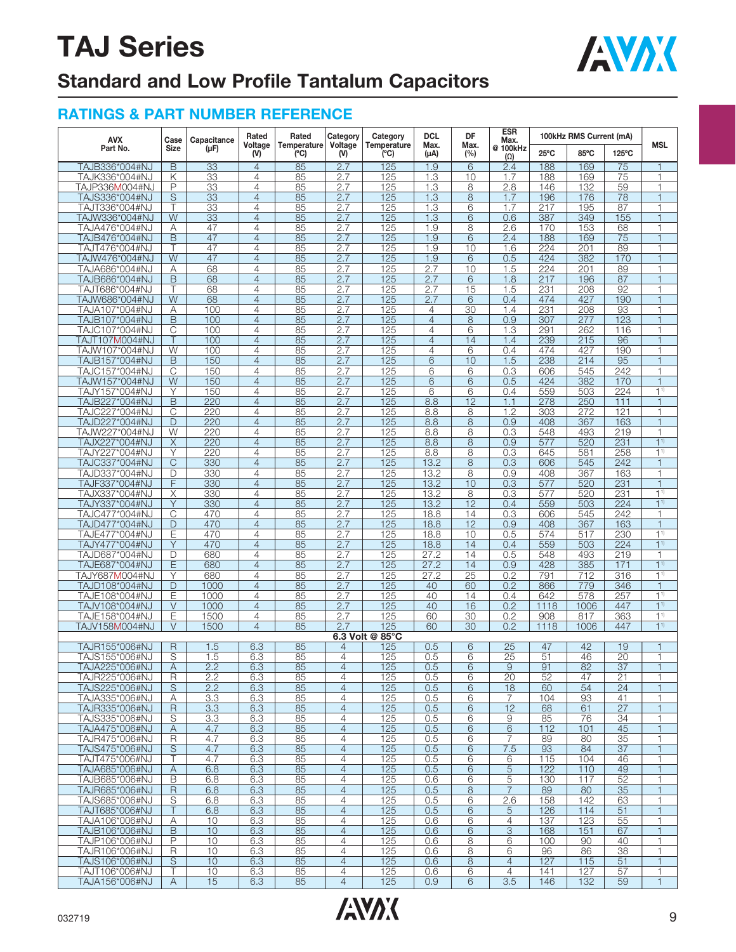

## **Standard and Low Profile Tantalum Capacitors**

| <b>AVX</b>                       | Case                    | Capacitance  | Rated                            | Rated              | Category                         | Category               | <b>DCL</b>                       | DF                    | <b>ESR</b><br>Max.     |                 | 100kHz RMS Current (mA) |                       |                                  |
|----------------------------------|-------------------------|--------------|----------------------------------|--------------------|----------------------------------|------------------------|----------------------------------|-----------------------|------------------------|-----------------|-------------------------|-----------------------|----------------------------------|
| Part No.                         | <b>Size</b>             | $(\mu F)$    | Voltage<br>(V)                   | Temperature<br>(C) | Voltage<br>(V)                   | Temperature<br>(C)     | Max.<br>$(\mu A)$                | Max.<br>(%)           | @ 100kHz<br>$(\Omega)$ | $25^{\circ}$ C  | 85°C                    | 125°C                 | <b>MSL</b>                       |
| TAJB336*004#NJ                   | B                       | 33           | $\overline{4}$                   | 85                 | 2.7                              | 125                    | 1.9                              | 6                     | 2.4                    | 188             | 169                     | 75                    |                                  |
| TAJK336*004#NJ                   | Κ                       | 33           | $\overline{4}$                   | 85                 | 2.7                              | 125                    | 1.3                              | 10                    | 1.7                    | 188             | 169                     | 75                    | 1                                |
| TAJP336M004#NJ                   | P                       | 33           | $\overline{4}$                   | 85                 | 2.7                              | 125                    | 1.3                              | 8                     | 2.8                    | 146             | 132                     | 59                    | 1                                |
| TAJS336*004#NJ                   | S                       | 33           | $\overline{4}$                   | 85                 | 2.7                              | 125                    | 1.3                              | 8                     | 1.7                    | 196             | 176                     | 78                    |                                  |
| TAJT336*004#NJ                   | т                       | 33           | 4                                | 85                 | 2.7                              | 125                    | 1.3                              | 6                     | 1.7                    | 217             | 195                     | 87                    | 1                                |
| TAJW336*004#NJ                   | W                       | 33           | $\overline{4}$                   | 85                 | 2.7                              | 125                    | 1.3                              | 6                     | 0.6                    | 387             | 349                     | 155                   |                                  |
| TAJA476*004#NJ                   | Α<br>$\overline{B}$     | 47<br>47     | 4<br>$\overline{4}$              | 85<br>85           | 2.7                              | 125<br>125             | 1.9<br>1.9                       | 8<br>$\overline{6}$   | 2.6<br>2.4             | 170<br>188      | 153<br>169              | 68<br>$\overline{75}$ | 1                                |
| TAJB476*004#NJ<br>TAJT476*004#NJ | Τ                       | 47           | $\overline{4}$                   | 85                 | 2.7<br>2.7                       | 125                    | 1.9                              | 10                    | 1.6                    | 224             | 201                     | 89                    | 1                                |
| TAJW476*004#NJ                   | W                       | 47           | 4                                | 85                 | 2.7                              | 125                    | 1.9                              | 6                     | 0.5                    | 424             | 382                     | 170                   |                                  |
| TAJA686*004#NJ                   | Α                       | 68           | $\overline{4}$                   | 85                 | 2.7                              | 125                    | 2.7                              | 10                    | 1.5                    | 224             | 201                     | 89                    | 1                                |
| TAJB686*004#NJ                   | B                       | 68           | $\overline{4}$                   | 85                 | 2.7                              | 125                    | 2.7                              | 6                     | 1.8                    | 217             | 196                     | 87                    |                                  |
| TAJT686*004#NJ                   | т                       | 68           | 4                                | 85                 | 2.7                              | 125                    | 2.7                              | 15                    | 1.5                    | 231             | 208                     | $\overline{92}$       |                                  |
| TAJW686*004#NJ                   | W                       | 68           | $\overline{4}$                   | 85                 | 2.7                              | 125                    | 2.7                              | 6                     | 0.4                    | 474             | 427                     | 190                   | $\overline{1}$                   |
| TAJA107*004#NJ<br>TAJB107*004#NJ | Α<br>B                  | 100<br>100   | $\overline{4}$<br>$\overline{4}$ | 85<br>85           | 2.7<br>2.7                       | 125<br>125             | $\overline{4}$<br>$\overline{4}$ | 30<br>8               | 1.4<br>0.9             | 231<br>307      | 208<br>277              | 93<br>123             | 1                                |
| TAJC107*004#NJ                   | C                       | 100          | $\overline{4}$                   | 85                 | 2.7                              | 125                    | $\overline{4}$                   | 6                     | 1.3                    | 291             | 262                     | 116                   |                                  |
| TAJT107M004#NJ                   | $\top$                  | 100          | $\overline{4}$                   | 85                 | 2.7                              | 125                    | $\overline{4}$                   | 14                    | 1.4                    | 239             | 215                     | 96                    |                                  |
| TAJW107*004#NJ                   | W                       | 100          | 4                                | 85                 | 2.7                              | 125                    | 4                                | 6                     | 0.4                    | 474             | 427                     | 190                   |                                  |
| TAJB157*004#NJ                   | B                       | 150          | $\overline{4}$                   | 85                 | 2.7                              | 125                    | $\overline{6}$                   | 10                    | 1.5                    | 238             | 214                     | 95                    | 1                                |
| TAJC157*004#NJ                   | $\overline{C}$          | 150          | $\overline{4}$                   | 85                 | 2.7                              | 125                    | 6                                | 6                     | 0.3                    | 606             | 545                     | 242                   | 1                                |
| TAJW157*004#NJ                   | W                       | 150          | $\overline{4}$                   | 85                 | 2.7                              | 125                    | 6                                | 6                     | 0.5                    | 424             | 382                     | 170                   |                                  |
| TAJY157*004#NJ<br>TAJB227*004#NJ | Υ<br>B                  | 150<br>220   | $\overline{4}$<br>$\overline{4}$ | 85<br>85           | 2.7<br>2.7                       | 125<br>125             | 6<br>8.8                         | 6<br>12               | 0.4<br>1.1             | 559<br>278      | 503<br>250              | 224<br>111            | 1 <sup>1</sup>                   |
| TAJC227*004#NJ                   | C                       | 220          | 4                                | 85                 | 2.7                              | 125                    | 8.8                              | 8                     | 1.2                    | 303             | 272                     | 121                   |                                  |
| TAJD227*004#NJ                   | D                       | 220          | $\overline{4}$                   | 85                 | 2.7                              | 125                    | 8.8                              | 8                     | 0.9                    | 408             | 367                     | 163                   | $\mathbf{1}$                     |
| TAJW227*004#NJ                   | W                       | 220          | $\overline{4}$                   | 85                 | 2.7                              | 125                    | 8.8                              | 8                     | 0.3                    | 548             | 493                     | 219                   | 1                                |
| TAJX227*004#NJ                   | X                       | 220          | $\overline{4}$                   | 85                 | 2.7                              | 125                    | 8.8                              | 8                     | 0.9                    | 577             | 520                     | 231                   | 1 <sup>1</sup>                   |
| TAJY227*004#NJ                   | Υ                       | 220          | $\overline{4}$                   | 85                 | 2.7                              | 125                    | 8.8                              | 8                     | 0.3                    | 645             | 581                     | 258                   | 1 <sup>1</sup>                   |
| TAJC337*004#NJ                   | $\overline{C}$<br>D     | 330          | $\overline{4}$                   | 85                 | 2.7                              | 125                    | 13.2<br>13.2                     | 8<br>8                | 0.3                    | 606<br>408      | 545                     | 242<br>163            |                                  |
| TAJD337*004#NJ<br>TAJF337*004#NJ | F                       | 330<br>330   | 4<br>$\overline{4}$              | 85<br>85           | 2.7<br>2.7                       | 125<br>125             | 13.2                             | 10                    | 0.9<br>0.3             | 577             | 367<br>520              | 231                   | $\mathbf{1}$                     |
| TAJX337*004#NJ                   | Χ                       | 330          | $\overline{4}$                   | 85                 | 2.7                              | 125                    | 13.2                             | 8                     | 0.3                    | 577             | 520                     | 231                   | 1 <sup>1</sup>                   |
| TAJY337*004#NJ                   | Y                       | 330          | $\overline{4}$                   | 85                 | 2.7                              | 125                    | 13.2                             | $\overline{12}$       | 0.4                    | 559             | 503                     | 224                   | 1 <sup>1</sup>                   |
| TAJC477*004#NJ                   | C                       | 470          | $\overline{4}$                   | 85                 | 2.7                              | 125                    | 18.8                             | 14                    | 0.3                    | 606             | 545                     | 242                   | 1                                |
| TAJD477*004#NJ                   | D                       | 470          | $\overline{4}$                   | 85                 | 2.7                              | 125                    | 18.8                             | 12                    | 0.9                    | 408             | 367                     | 163                   |                                  |
| TAJE477*004#NJ                   | Ε                       | 470          | 4                                | 85                 | 2.7                              | 125                    | 18.8                             | 10                    | 0.5                    | 574             | 517                     | 230                   | 1 <sup>1</sup>                   |
| TAJY477*004#NJ<br>TAJD687*004#NJ | Y<br>D                  | 470<br>680   | $\overline{4}$<br>$\overline{4}$ | 85<br>85           | 2.7<br>2.7                       | 125<br>125             | 18.8<br>27.2                     | 14<br>14              | 0.4<br>0.5             | 559<br>548      | 503<br>493              | 224<br>219            | 1 <sup>1</sup><br>$\mathbf{1}$   |
| TAJE687*004#NJ                   | E                       | 680          | $\overline{4}$                   | 85                 | 2.7                              | 125                    | 27.2                             | 14                    | 0.9                    | 428             | 385                     | 171                   | 1 <sup>1</sup>                   |
| TAJY687 <b>M</b> 004#NJ          | Υ                       | 680          | $\overline{4}$                   | 85                 | 2.7                              | 125                    | 27.2                             | 25                    | 0.2                    | 791             | 712                     | 316                   | 1 <sup>1</sup>                   |
| TAJD108*004#NJ                   | D                       | 1000         | $\overline{4}$                   | 85                 | 2.7                              | 125                    | 40                               | 60                    | 0.2                    | 866             | 779                     | 346                   |                                  |
| TAJE108*004#NJ                   | Ε                       | 1000         | 4                                | 85                 | 2.7                              | 125                    | 40                               | 14                    | 0.4                    | 642             | 578                     | 257                   | 1 <sup>1</sup>                   |
| TAJV108*004#NJ                   | $\vee$                  | 1000         | $\overline{4}$                   | 85                 | 2.7                              | 125                    | 40                               | 16                    | 0.2                    | 1118            | 1006                    | 447                   | 11                               |
| TAJE158*004#NJ                   | E<br>V                  | 1500<br>1500 | $\overline{4}$<br>$\overline{4}$ | 85<br>85           | 2.7<br>2.7                       | 125                    | 60<br>60                         | $\overline{30}$<br>30 | 0.2<br>0.2             | 908             | 817<br>1006             | 363<br>447            | 1 <sup>1</sup><br>1 <sup>1</sup> |
| TAJV158M004#NJ                   |                         |              |                                  |                    |                                  | 125<br>6.3 Volt @ 85°C |                                  |                       |                        | 1118            |                         |                       |                                  |
| TAJR155*006#NJ                   | R                       | 1.5          | 6.3                              | 85                 | $\overline{4}$                   | 125                    | 0.5                              | 6                     | $\overline{25}$        | 47              | 42                      | 19                    |                                  |
| TAJS155*006#NJ                   | S                       | 1.5          | 6.3                              | 85                 | 4                                | 125                    | 0.5                              | 6                     | $\overline{25}$        | 51              | 46                      | $\overline{20}$       |                                  |
| TAJA225*006#NJ                   | $\overline{A}$          | 2.2          | 6.3                              | 85                 | $\overline{4}$                   | 125                    | 0.5                              | 6                     | $\hbox{9}$             | $\overline{91}$ | $\overline{82}$         | $\overline{37}$       | 1                                |
| TAJR225*006#NJ                   | R                       | 2.2          | 6.3                              | 85                 | $\overline{4}$                   | 125                    | 0.5                              | 6                     | 20                     | 52              | 47                      | 21                    | $\mathbf{1}$                     |
| TAJS225*006#NJ<br>TAJA335*006#NJ | S                       | 2.2          | 6.3                              | 85                 | $\overline{4}$<br>$\overline{4}$ | 125                    | 0.5                              | 6                     | 18                     | 60              | 54                      | 24                    |                                  |
| TAJR335*006#NJ                   | Α<br>$\mathsf R$        | 3.3<br>3.3   | 6.3<br>6.3                       | 85<br>85           | $\overline{4}$                   | 125<br>125             | 0.5<br>0.5                       | 6<br>6                | 7<br>12                | 104<br>68       | 93<br>61                | 41<br>27              |                                  |
| TAJS335*006#NJ                   | S                       | 3.3          | 6.3                              | 85                 | $\overline{4}$                   | 125                    | 0.5                              | 6                     | 9                      | 85              | 76                      | 34                    |                                  |
| TAJA475*006#NJ                   | Α                       | 4.7          | 6.3                              | 85                 | $\overline{4}$                   | $\overline{125}$       | 0.5                              | 6                     | 6                      | 112             | 101                     | 45                    | 1                                |
| TAJR475*006#NJ                   | $\overline{\mathsf{R}}$ | 4.7          | 6.3                              | 85                 | $\overline{4}$                   | 125                    | 0.5                              | 6                     | $\overline{7}$         | 89              | 80                      | 35                    | 1                                |
| TAJS475*006#NJ                   | S                       | 4.7          | 6.3                              | 85                 | $\overline{4}$                   | 125                    | 0.5                              | 6                     | 7.5                    | 93              | 84                      | 37                    |                                  |
| TAJT475*006#NJ                   | Τ                       | 4.7          | 6.3                              | 85                 | $\overline{4}$<br>$\overline{4}$ | 125<br>125             | 0.5                              | 6                     | 6                      | 115<br>122      | 104                     | 46                    | 1                                |
| TAJA685*006#NJ<br>TAJB685*006#NJ | Α<br>В                  | 6.8<br>6.8   | 6.3<br>6.3                       | 85<br>85           | $\overline{4}$                   | 125                    | 0.5<br>0.6                       | 6<br>6                | $\sqrt{5}$<br>5        | 130             | 110<br>117              | 49<br>52              |                                  |
| TAJR685*006#NJ                   | $\overline{R}$          | 6.8          | 6.3                              | 85                 | $\overline{4}$                   | 125                    | 0.5                              | 8                     | $\overline{7}$         | 89              | 80                      | 35                    | 1                                |
| TAJS685*006#NJ                   | S                       | 6.8          | 6.3                              | 85                 | $\overline{4}$                   | 125                    | 0.5                              | 6                     | 2.6                    | 158             | 142                     | 63                    | 1                                |
| TAJT685*006#NJ                   | Τ                       | 6.8          | 6.3                              | 85                 | $\overline{4}$                   | 125                    | 0.5                              | 6                     | 5                      | 126             | 114                     | 51                    |                                  |
| TAJA106*006#NJ                   | Α                       | 10           | 6.3                              | 85                 | $\overline{4}$                   | 125                    | 0.6                              | 6                     | $\overline{4}$         | 137             | 123                     | 55                    | 1                                |
| TAJB106*006#NJ                   | B<br>P                  | 10           | 6.3                              | 85                 | $\overline{4}$                   | 125                    | 0.6                              | 6                     | 3                      | 168             | 151                     | 67<br>40              |                                  |
| TAJP106*006#NJ<br>TAJR106*006#NJ | R                       | 10<br>10     | 6.3<br>6.3                       | 85<br>85           | $\overline{4}$<br>$\overline{4}$ | 125<br>125             | 0.6<br>0.6                       | 8<br>8                | 6<br>6                 | 100<br>96       | 90<br>86                | 38                    | 1                                |
| TAJS106*006#NJ                   | S                       | 10           | 6.3                              | 85                 | $\overline{4}$                   | 125                    | 0.6                              | 8                     | $\overline{4}$         | 127             | 115                     | 51                    | 1                                |
| TAJT106*006#NJ                   | Τ                       | 10           | 6.3                              | 85                 | $\overline{4}$                   | 125                    | 0.6                              | 6                     | $\overline{4}$         | 141             | 127                     | 57                    |                                  |
| TAJA156*006#NJ                   | A                       | 15           | 6.3                              | 85                 | $\overline{4}$                   | 125                    | 0.9                              | 6                     | $\overline{3.5}$       | 146             | 132                     | 59                    | $\mathbf{1}$                     |

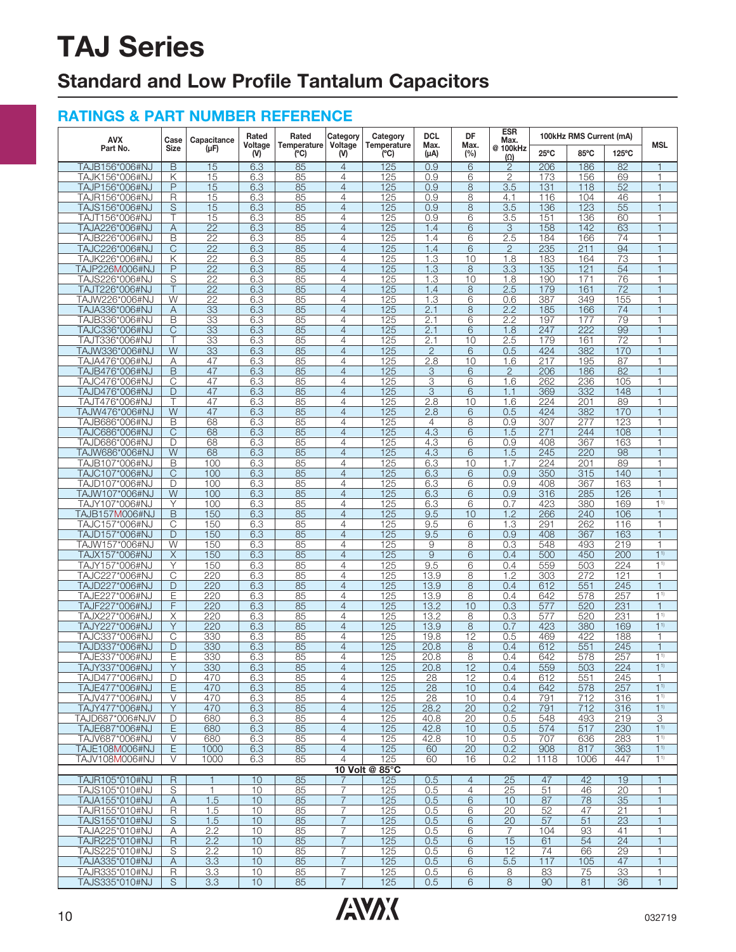## **Standard and Low Profile Tantalum Capacitors**

| <b>AVX</b>                       | Case                    | Capacitance     | Rated                   | Rated               | Category                         | Category       | <b>DCL</b><br>DF<br>Max.<br>Temperature<br>Max.<br>(C)<br>$(\mu A)$<br>(%) | <b>ESR</b><br>Max. |                         | 100kHz RMS Current (mA) |            |                 |                                  |
|----------------------------------|-------------------------|-----------------|-------------------------|---------------------|----------------------------------|----------------|----------------------------------------------------------------------------|--------------------|-------------------------|-------------------------|------------|-----------------|----------------------------------|
| Part No.                         | Size                    | (µF)            | Voltage<br>$\mathsf{M}$ | Temperature<br>(°C) | Voltage<br>(V)                   |                |                                                                            |                    | @ 100kHz<br>$(\Omega)$  | 25°C                    | 85°C       | 125°C           | <b>MSL</b>                       |
| TAJB156*006#NJ                   | B                       | 15              | 6.3                     | 85                  | $\overline{4}$                   | 125            | 0.9                                                                        | 6                  | $\overline{2}$          | 206                     | 186        | $\overline{82}$ | $\overline{1}$                   |
| TAJK156*006#NJ                   | Κ                       | 15              | 6.3                     | 85                  | $\overline{4}$                   | 125            | 0.9                                                                        | 6                  | 2                       | 173                     | 156        | 69              | 1                                |
| TAJP156*006#NJ                   | P                       | 15              | 6.3                     | 85                  | $\overline{4}$                   | 125            | 0.9                                                                        | 8                  | 3.5                     | 131                     | 118        | 52              | $\mathbf{1}$                     |
| TAJR156*006#NJ<br>TAJS156*006#NJ | R<br>S                  | 15<br>15        | 6.3<br>6.3              | 85<br>85            | $\overline{4}$<br>$\overline{4}$ | 125<br>125     | 0.9<br>0.9                                                                 | 8<br>8             | 4.1<br>$\overline{3.5}$ | 116<br>136              | 104<br>123 | 46<br>55        | 1<br>$\mathbf{1}$                |
| TAJT156*006#NJ                   |                         | 15              | 6.3                     | 85                  | $\overline{4}$                   | 125            | 0.9                                                                        | 6                  | 3.5                     | 151                     | 136        | 60              | $\overline{1}$                   |
| TAJA226*006#NJ                   | Α                       | 22              | 6.3                     | 85                  | $\overline{4}$                   | 125            | 1.4                                                                        | 6                  | 3                       | 158                     | 142        | 63              | $\overline{1}$                   |
| TAJB226*006#NJ                   | В                       | 22              | 6.3                     | 85                  | $\overline{4}$                   | 125            | 1.4                                                                        | 6                  | 2.5                     | 184                     | 166        | 74              | 1                                |
| TAJC226*006#NJ                   | $\overline{C}$          | $\overline{22}$ | 6.3                     | 85                  | $\overline{4}$                   | 125            | 1.4                                                                        | 6                  | $\mathbf{2}$            | 235                     | 211        | 94              | $\mathbf{1}$                     |
| TAJK226*006#NJ                   | Κ                       | 22              | 6.3                     | 85                  | $\overline{4}$                   | 125            | 1.3                                                                        | 10                 | 1.8                     | 183                     | 164        | 73              | 1                                |
| TAJP226M006#NJ                   | P                       | $\overline{22}$ | 6.3                     | 85                  | $\overline{4}$                   | 125            | 1.3                                                                        | 8                  | 3.3                     | 135                     | 121        | 54              | 1                                |
| TAJS226*006#NJ                   | S                       | $\overline{22}$ | 6.3                     | 85                  | $\overline{4}$                   | 125            | 1.3                                                                        | 10                 | 1.8                     | 190                     | 171        | 76              | 1                                |
| TAJT226*006#NJ<br>TAJW226*006#NJ | W                       | 22<br>22        | 6.3<br>6.3              | 85<br>85            | $\overline{4}$<br>$\overline{4}$ | 125<br>125     | 1.4<br>$\overline{1.3}$                                                    | 8<br>6             | 2.5<br>0.6              | 179<br>387              | 161<br>349 | 72<br>155       | $\overline{1}$<br>1              |
| TAJA336*006#NJ                   | Α                       | 33              | 6.3                     | 85                  | $\overline{4}$                   | 125            | 2.1                                                                        | 8                  | 2.2                     | 185                     | 166        | 74              | $\mathbf{1}$                     |
| TAJB336*006#NJ                   | B                       | 33              | 6.3                     | 85                  | $\overline{4}$                   | 125            | 2.1                                                                        | 6                  | 2.2                     | 197                     | 177        | 79              | 1                                |
| TAJC336*006#NJ                   | $\mathsf{C}$            | 33              | 6.3                     | 85                  | $\overline{4}$                   | 125            | 2.1                                                                        | 6                  | 1.8                     | 247                     | 222        | 99              | $\mathbf{1}$                     |
| TAJT336*006#NJ                   |                         | 33              | 6.3                     | 85                  | $\overline{4}$                   | 125            | 2.1                                                                        | 10                 | 2.5                     | 179                     | 161        | $\overline{72}$ | $\mathbf{1}$                     |
| TAJW336*006#NJ                   | W                       | 33              | 6.3                     | 85                  | $\overline{4}$                   | 125            | $\overline{2}$                                                             | 6                  | 0.5                     | 424                     | 382        | 170             | $\overline{1}$                   |
| TAJA476*006#NJ                   | Α                       | 47              | 6.3                     | 85                  | $\overline{4}$                   | 125            | 2.8                                                                        | 10                 | 1.6                     | 217                     | 195        | 87              | 1                                |
| TAJB476*006#NJ                   | B                       | 47              | 6.3                     | 85                  | $\overline{4}$                   | 125            | 3                                                                          | 6                  | $\overline{2}$          | 206                     | 186        | 82              | $\mathbf{1}$                     |
| TAJC476*006#NJ<br>TAJD476*006#NJ | С<br>D                  | 47<br>47        | 6.3<br>6.3              | 85<br>85            | $\overline{4}$<br>$\overline{4}$ | 125<br>125     | 3<br>$\overline{3}$                                                        | 6<br>6             | 1.6<br>1.1              | 262<br>369              | 236<br>332 | 105<br>148      | 1<br>$\mathbf{1}$                |
| TAJT476*006#NJ                   |                         | 47              | 6.3                     | 85                  | $\overline{4}$                   | 125            | 2.8                                                                        | 10                 | 1.6                     | 224                     | 201        | 89              | 1                                |
| TAJW476*006#NJ                   | W                       | 47              | 6.3                     | 85                  | $\overline{4}$                   | 125            | 2.8                                                                        | 6                  | 0.5                     | 424                     | 382        | 170             | $\overline{1}$                   |
| TAJB686*006#NJ                   | В                       | 68              | 6.3                     | 85                  | $\overline{4}$                   | 125            | 4                                                                          | 8                  | 0.9                     | 307                     | 277        | 123             | 1                                |
| TAJC686*006#NJ                   | $\overline{C}$          | 68              | 6.3                     | 85                  | $\overline{4}$                   | 125            | 4.3                                                                        | 6                  | 1.5                     | 271                     | 244        | 108             | $\mathbf{1}$                     |
| TAJD686*006#NJ                   | D                       | 68              | 6.3                     | 85                  | $\overline{4}$                   | 125            | 4.3                                                                        | 6                  | 0.9                     | 408                     | 367        | 163             | 1                                |
| TAJW686*006#NJ                   | $\overline{W}$          | 68              | 6.3                     | 85                  | $\overline{4}$                   | 125            | 4.3                                                                        | 6                  | 1.5                     | 245                     | 220        | 98              | $\mathbf{1}$                     |
| TAJB107*006#NJ                   | B                       | 100<br>100      | 6.3                     | 85<br>85            | $\overline{4}$<br>$\overline{4}$ | 125            | 6.3<br>6.3                                                                 | 10                 | 1.7<br>0.9              | 224<br>350              | 201<br>315 | 89<br>140       | $\overline{1}$<br>$\overline{1}$ |
| TAJC107*006#NJ<br>TAJD107*006#NJ | C<br>D                  | 100             | 6.3<br>6.3              | 85                  | $\overline{4}$                   | 125<br>125     | 6.3                                                                        | 6<br>6             | 0.9                     | 408                     | 367        | 163             | $\mathbf{1}$                     |
| TAJW107*006#NJ                   | $\overline{W}$          | 100             | 6.3                     | 85                  | $\overline{4}$                   | 125            | 6.3                                                                        | 6                  | 0.9                     | 316                     | 285        | 126             | $\mathbf{1}$                     |
| TAJY107*006#NJ                   | Υ                       | 100             | 6.3                     | 85                  | $\overline{4}$                   | 125            | 6.3                                                                        | 6                  | 0.7                     | 423                     | 380        | 169             | 1 <sup>1</sup>                   |
| TAJB157M006#NJ                   | B                       | 150             | 6.3                     | 85                  | $\overline{4}$                   | 125            | 9.5                                                                        | 10                 | 1.2                     | 266                     | 240        | 106             | 1                                |
| TAJC157*006#NJ                   | С                       | 150             | 6.3                     | 85                  | $\overline{4}$                   | 125            | 9.5                                                                        | 6                  | 1.3                     | 291                     | 262        | 116             | 1                                |
| TAJD157*006#NJ                   | D                       | 150             | 6.3                     | 85                  | $\overline{4}$                   | 125            | 9.5                                                                        | 6                  | 0.9                     | 408                     | 367        | 163             | $\overline{1}$                   |
| TAJW157*006#NJ                   | W                       | 150             | 6.3                     | 85                  | $\overline{4}$                   | 125            | 9                                                                          | 8                  | 0.3                     | 548                     | 493        | 219             | 1<br>1 <sup>1</sup>              |
| TAJX157*006#NJ<br>TAJY157*006#NJ | X<br>Υ                  | 150<br>150      | 6.3<br>6.3              | 85<br>85            | $\overline{4}$<br>$\overline{4}$ | 125<br>125     | $\overline{9}$<br>9.5                                                      | 6<br>6             | 0.4<br>0.4              | 500<br>559              | 450<br>503 | 200<br>224      | 1 <sup>1</sup>                   |
| TAJC227*006#NJ                   | C                       | 220             | 6.3                     | 85                  | $\overline{4}$                   | 125            | 13.9                                                                       | 8                  | 1.2                     | 303                     | 272        | 121             | 1                                |
| TAJD227*006#NJ                   | D                       | 220             | 6.3                     | 85                  | $\overline{4}$                   | 125            | 13.9                                                                       | 8                  | 0.4                     | 612                     | 551        | 245             | $\mathbf{1}$                     |
| TAJE227*006#NJ                   | Ε                       | 220             | 6.3                     | 85                  | 4                                | 125            | 13.9                                                                       | 8                  | 0.4                     | 642                     | 578        | 257             | 1 <sup>1</sup>                   |
| TAJF227*006#NJ                   | F                       | 220             | 6.3                     | 85                  | $\overline{4}$                   | 125            | 13.2                                                                       | 10                 | 0.3                     | 577                     | 520        | 231             | $\mathbf{1}$                     |
| TAJX227*006#NJ                   | Χ                       | 220             | 6.3                     | 85                  | $\overline{4}$                   | 125            | 13.2                                                                       | 8                  | 0.3                     | 577                     | 520        | 231             | $1^{1}$                          |
| TAJY227*006#NJ                   | Y                       | 220             | 6.3                     | 85                  | $\overline{4}$                   | 125            | 13.9                                                                       | 8                  | 0.7                     | 423                     | 380        | 169             | 1 <sup>1</sup>                   |
| TAJC337*006#NJ                   | C                       | 330             | 6.3                     | 85                  | 4                                | 125            | 19.8                                                                       | 12                 | 0.5                     | 469                     | 422        | 188             | 1                                |
| TAJD337*006#NJ<br>TAJE337*006#NJ | D<br>Е                  | 330<br>330      | 6.3<br>6.3              | 85<br>85            | $\overline{4}$<br>4              | 125<br>125     | 20.8<br>20.8                                                               | 8<br>8             | 0.4<br>0.4              | 612<br>642              | 551<br>578 | 245<br>257      | 1<br>1 <sup>1</sup>              |
| TAJY337*006#NJ                   | Υ                       | 330             | 6.3                     | 85                  | $\overline{4}$                   | 125            | 20.8                                                                       | 12                 | 0.4                     | 559                     | 503        | 224             | $1^{1}$                          |
| TAJD477*006#NJ                   | D                       | 470             | 6.3                     | 85                  | $\overline{4}$                   | 125            | 28                                                                         | 12                 | 0.4                     | 612                     | 551        | 245             | 1                                |
| TAJE477*006#NJ                   | E                       | 470             | 6.3                     | 85                  | $\overline{4}$                   | 125            | 28                                                                         | 10                 | 0.4                     | 642                     | 578        | 257             | 1 <sup>1</sup>                   |
| TAJV477*006#NJ                   | V                       | 470             | 6.3                     | 85                  | $\overline{4}$                   | 125            | 28                                                                         | 10                 | 0.4                     | 791                     | 712        | 316             | 1 <sup>1</sup>                   |
| TAJY477*006#NJ                   | Y                       | 470             | 6.3                     | 85                  | $\overline{4}$                   | 125            | 28.2                                                                       | 20                 | 0.2                     | 791                     | 712        | 316             | $1^{1}$                          |
| TAJD687*006#NJV                  | D                       | 680             | 6.3                     | 85                  | $\overline{4}$                   | 125            | 40.8                                                                       | 20                 | 0.5                     | 548                     | 493        | 219             | 3                                |
| TAJE687*006#NJ<br>TAJV687*006#NJ | E<br>V                  | 680<br>680      | 6.3<br>6.3              | 85<br>85            | $\overline{4}$<br>$\overline{4}$ | 125<br>125     | 42.8<br>42.8                                                               | 10<br>10           | 0.5<br>0.5              | 574<br>707              | 517<br>636 | 230<br>283      | 1 <sup>1</sup><br>$1^{1}$        |
| TAJE108M006#NJ                   | E                       | 1000            | 6.3                     | 85                  | $\overline{4}$                   | 125            | 60                                                                         | 20                 | 0.2                     | 908                     | 817        | 363             | $1^{1}$                          |
| TAJV108M006#NJ                   | V                       | 1000            | 6.3                     | 85                  | $\overline{4}$                   | 125            | 60                                                                         | 16                 | 0.2                     | 1118                    | 1006       | 447             | 1 <sup>1</sup>                   |
|                                  |                         |                 |                         |                     |                                  | 10 Volt @ 85°C |                                                                            |                    |                         |                         |            |                 |                                  |
| TAJR105*010#NJ                   | R                       |                 | 10                      | 85                  |                                  | 125            | 0.5                                                                        | $\overline{4}$     | 25                      | 47                      | 42         | 19              |                                  |
| TAJS105*010#NJ                   | $\overline{\mathsf{S}}$ | 1               | 10                      | 85                  | 7                                | 125            | 0.5                                                                        | $\overline{4}$     | 25                      | 51                      | 46         | 20              | $\mathbf{1}$                     |
| TAJA155*010#NJ                   | A                       | 1.5             | 10                      | 85                  | $\overline{7}$                   | 125            | 0.5                                                                        | 6                  | 10                      | 87                      | 78         | 35              | $\mathbf{1}$                     |
| TAJR155*010#NJ<br>TAJS155*010#NJ | $\mathsf R$<br>S        | 1.5<br>1.5      | 10<br>10                | 85<br>85            | $\overline{7}$<br>$\overline{7}$ | 125<br>125     | 0.5<br>0.5                                                                 | 6<br>6             | 20<br>20                | 52<br>57                | 47<br>51   | 21<br>23        | 1<br>$\mathbf{1}$                |
| TAJA225*010#NJ                   | Α                       | 2.2             | 10                      | 85                  | $\overline{7}$                   | 125            | 0.5                                                                        | 6                  | 7                       | 104                     | 93         | 41              | 1                                |
| TAJR225*010#NJ                   | R                       | 2.2             | 10                      | 85                  | $\overline{7}$                   | 125            | 0.5                                                                        | 6                  | 15                      | 61                      | 54         | 24              | $\mathbf{1}$                     |
| TAJS225*010#NJ                   | S                       | 2.2             | 10                      | 85                  | $\overline{7}$                   | 125            | 0.5                                                                        | 6                  | 12                      | 74                      | 66         | 29              | 1                                |
| TAJA335*010#NJ                   | A                       | 3.3             | 10                      | 85                  | $\overline{7}$                   | 125            | 0.5                                                                        | 6                  | 5.5                     | 117                     | 105        | 47              | $\mathbf{1}$                     |
| TAJR335*010#NJ                   | R                       | 3.3             | 10                      | 85                  | $\overline{7}$                   | 125            | 0.5                                                                        | 6                  | 8                       | 83                      | 75         | 33              | 1                                |
| TAJS335*010#NJ                   | $\overline{\mathsf{s}}$ | 3.3             | 10                      | 85                  | $\overline{7}$                   | 125            | 0.5                                                                        | 6                  | 8                       | 90                      | 81         | 36              | $\mathbf{1}$                     |

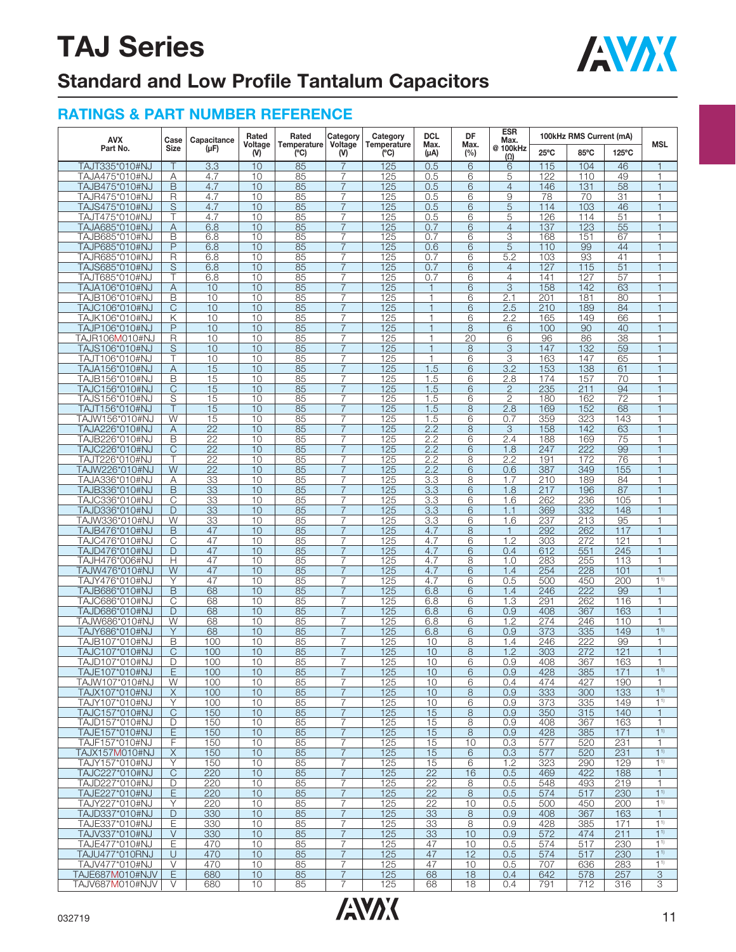

## **Standard and Low Profile Tantalum Capacitors**

| <b>AVX</b>                       | Case           | Capacitance     | Rated           | Rated              | Category       | Category            | <b>DCL</b>      | DF             | <b>ESR</b><br>Max.     |                | 100kHz RMS Current (mA) |                 |                          |
|----------------------------------|----------------|-----------------|-----------------|--------------------|----------------|---------------------|-----------------|----------------|------------------------|----------------|-------------------------|-----------------|--------------------------|
| Part No.                         | <b>Size</b>    | (µF)            | Voltage<br>(V)  | Temperature<br>(C) | Voltage<br>(V) | Temperature<br>(°C) | Max.<br>(µA)    | Max.<br>(%)    | @ 100kHz<br>$(\Omega)$ | $25^{\circ}$ C | 85°C                    | 125°C           | <b>MSL</b>               |
| TAJT335*010#NJ                   |                | 3.3             | 10              | 85                 | $\overline{7}$ | 125                 | 0.5             | 6              | 6                      | 115            | 104                     | 46              |                          |
| TAJA475*010#NJ                   | Α              | 4.7             | 10              | 85                 | $\overline{7}$ | 125                 | 0.5             | 6              | 5                      | 122            | 110                     | 49              | 1                        |
| TAJB475*010#NJ                   | B              | 4.7             | 10              | 85                 | $\overline{7}$ | 125                 | 0.5             | 6              | $\overline{4}$         | 146            | 131                     | 58              | 1                        |
| TAJR475*010#NJ                   | R              | 4.7             | 10              | 85                 | $\overline{7}$ | 125                 | 0.5             | 6              | $\overline{9}$         | 78             | 70                      | $\overline{31}$ |                          |
| TAJS475*010#NJ                   | S              | 4.7             | 10              | 85                 | $\overline{7}$ | 125                 | 0.5             | 6              | 5                      | 114            | 103                     | 46              |                          |
| TAJT475*010#NJ                   | Τ              | 4.7             | 10              | 85                 | $\overline{7}$ | 125                 | 0.5             | 6              | 5                      | 126            | 114                     | 51              | $\overline{1}$           |
| TAJA685*010#NJ                   | A              | 6.8             | 10              | 85                 | $\overline{7}$ | 125                 | 0.7             | 6              | $\overline{4}$         | 137            | 123                     | 55              |                          |
| TAJB685*010#NJ                   | В              | 6.8             | 10              | 85                 | $\overline{7}$ | 125                 | 0.7             | 6              | 3                      | 168            | 151                     | 67              |                          |
| TAJP685*010#NJ                   | P              | 6.8             | 10              | 85                 | $\overline{7}$ | 125                 | 0.6             | 6              | 5                      | 110            | 99                      | 44              |                          |
| TAJR685*010#NJ                   | R              | 6.8             | 10              | 85                 | 7              | 125                 | 0.7             | 6              | 5.2                    | 103            | 93                      | 41              |                          |
| TAJS685*010#NJ                   | $\overline{S}$ | 6.8             | $\overline{10}$ | 85                 | $\overline{7}$ | 125                 | 0.7             | 6              | $\overline{4}$         | 127            | 115                     | $\overline{51}$ | $\overline{1}$           |
|                                  | Τ              | 6.8             | 10              | 85                 | 7              | 125                 | 0.7             | 6              | $\overline{4}$         | 141            | 127                     | 57              |                          |
| TAJT685*010#NJ<br>TAJA106*010#NJ |                |                 |                 | 85                 | $\overline{7}$ |                     | $\mathbf{1}$    |                | 3                      | 158            |                         |                 |                          |
|                                  | Α              | 10              | 10<br>10        |                    | $\overline{7}$ | 125                 | $\mathbf{1}$    | 6              |                        | 201            | 142                     | 63              |                          |
| TAJB106*010#NJ                   | B              | 10              |                 | 85                 |                | 125                 |                 | 6              | 2.1                    |                | 181                     | 80              |                          |
| TAJC106*010#NJ                   | C              | 10              | 10              | 85                 | $\overline{7}$ | 125                 | $\overline{1}$  | 6              | 2.5                    | 210            | 189                     | 84              |                          |
| TAJK106*010#NJ                   | Κ              | 10              | 10              | 85                 | $\overline{7}$ | <u>125</u>          | 1               | 6              | 2.2                    | 165            | 149                     | 66              | $\overline{\phantom{a}}$ |
| TAJP106*010#NJ                   | P              | 10              | 10              | 85                 | $\overline{7}$ | 125                 | $\mathbf{1}$    | 8              | 6                      | 100            | 90                      | 40              | $\overline{1}$           |
| TAJR106M010#NJ                   | $\overline{R}$ | 10              | 10              | 85                 | $\overline{7}$ | 125                 | 1               | 20             | 6                      | 96             | 86                      | 38              |                          |
| TAJS106*010#NJ                   | S              | 10              | 10              | 85                 | $\overline{7}$ | 125                 | $\overline{1}$  | 8              | $\overline{3}$         | 147            | 132                     | 59              |                          |
| TAJT106*010#NJ                   | т              | 10              | 10              | 85                 | 7              | 125                 | $\mathbf{1}$    | 6              | 3                      | 163            | 147                     | 65              |                          |
| TAJA156*010#NJ                   | Α              | 15              | 10              | 85                 | $\overline{7}$ | 125                 | 1.5             | 6              | 3.2                    | 153            | 138                     | 61              | $\overline{1}$           |
| TAJB156*010#NJ                   | B              | 15              | 10              | 85                 | $\overline{7}$ | 125                 | 1.5             | 6              | 2.8                    | 174            | 157                     | 70              | 1                        |
| TAJC156*010#NJ                   | C              | 15              | 10              | 85                 | 7              | 125                 | 1.5             | 6              | $\mathbf{2}$           | 235            | 211                     | 94              |                          |
| TAJS156*010#NJ                   | S              | 15              | 10              | 85                 | $\overline{7}$ | 125                 | 1.5             | 6              | $\overline{2}$         | 180            | 162                     | $\overline{72}$ | 1                        |
| TAJT156*010#NJ                   |                | 15              | 10              | 85                 | 7              | 125                 | 1.5             | 8              | 2.8                    | 169            | 152                     | 68              |                          |
| TAJW156*010#NJ                   | W              | 15              | 10              | 85                 | $\overline{7}$ | 125                 | 1.5             | 6              | 0.7                    | 359            | 323                     | 143             | $\overline{1}$           |
| TAJA226*010#NJ                   | Α              | $\overline{22}$ | 10              | 85                 | $\overline{7}$ | 125                 | 2.2             | $\overline{8}$ | 3                      | 158            | 142                     | 63              | 1                        |
| TAJB226*010#NJ                   | В              | $\overline{22}$ | 10              | 85                 | 7              | 125                 | 2.2             | 6              | 2.4                    | 188            | 169                     | 75              |                          |
| TAJC226*010#NJ                   | C              | $\overline{22}$ | 10              | 85                 | $\overline{7}$ | 125                 | 2.2             | 6              | 1.8                    | 247            | 222                     | 99              |                          |
| TAJT226*010#NJ                   |                | $\overline{22}$ | 10              | 85                 | 7              | 125                 | 2.2             | 8              | 2.2                    | 191            | 172                     | 76              |                          |
| TAJW226*010#NJ                   | W              | 22              | 10              | 85                 | $\overline{7}$ | 125                 | 2.2             | 6              | 0.6                    | 387            | 349                     | 155             |                          |
| TAJA336*010#NJ                   | Α              | 33              | 10              | 85                 | $\overline{7}$ | 125                 | 3.3             | 8              | 1.7                    | 210            | 189                     | 84              | 1                        |
| TAJB336*010#NJ                   | B              | 33              | 10              | 85                 | $\overline{7}$ | 125                 | 3.3             | 6              | 1.8                    | 217            | 196                     | 87              |                          |
| TAJC336*010#NJ                   | C              | 33              | 10              | 85                 | $\overline{7}$ | 125                 | 3.3             | 6              | 1.6                    | 262            | 236                     | 105             | 1                        |
| TAJD336*010#NJ                   | D              | 33              | 10              | 85                 | 7              | 125                 | 3.3             | 6              | 1.1                    | 369            | 332                     | 148             |                          |
| TAJW336*010#NJ                   | W              | 33              | 10              | 85                 | $\overline{7}$ | 125                 | 3.3             | 6              | 1.6                    | 237            | 213                     | 95              |                          |
|                                  | B              | 47              | 10              | 85                 | $\overline{7}$ | 125                 | 4.7             | 8              | $\mathbf{1}$           | 292            | 262                     | 117             | $\overline{1}$           |
| TAJB476*010#NJ                   |                |                 |                 |                    |                |                     |                 |                |                        |                |                         |                 |                          |
| TAJC476*010#NJ                   | C              | 47              | 10              | 85                 | 7              | 125                 | 4.7             | 6              | 1.2                    | 303            | 272                     | 121             | 1                        |
| TAJD476*010#NJ                   | D              | 47              | 10              | 85                 | $\overline{7}$ | 125                 | 4.7             | 6              | 0.4                    | 612            | 551                     | 245             | 1                        |
| TAJH476*006#NJ                   | Н              | 47              | 10              | 85                 | $\overline{7}$ | 125                 | 4.7             | 8              | 1.0                    | 283            | 255                     | 113             |                          |
| TAJW476*010#NJ                   | W              | 47              | 10              | 85                 | $\overline{7}$ | 125                 | 4.7             | 6              | 1.4                    | 254            | 228                     | 101             | $\mathbf{1}$             |
| TAJY476*010#NJ                   | Υ              | 47              | 10              | 85                 | $\overline{7}$ | <u>125</u>          | 4.7             | 6              | 0.5                    | 500            | 450                     | 200             | 1 <sup>1</sup>           |
| TAJB686*010#NJ                   | B              | 68              | 10              | 85                 | $\overline{7}$ | 125                 | 6.8             | 6              | 1.4                    | 246            | 222                     | 99              | $\overline{1}$           |
| TAJC686*010#NJ                   | C              | 68              | 10              | 85                 | 7              | 125                 | 6.8             | 6              | 1.3                    | 291            | 262                     | 116             | 1                        |
| TAJD686*010#NJ                   | D              | 68              | 10              | 85                 | $\overline{7}$ | 125                 | 6.8             | 6              | 0.9                    | 408            | 367                     | 163             |                          |
| TAJW686*010#NJ                   | W              | 68              | 10              | 85                 | $\overline{7}$ | 125                 | 6.8             | 6              | 1.2                    | 274            | 246                     | 110             | $\overline{1}$           |
| TAJY686*010#NJ                   | Y              | 68              | 10              | 85                 | $\overline{7}$ | 125                 | 6.8             | 6              | 0.9                    | 373            | 335                     | 149             | 1 <sup>1</sup>           |
| TAJB107*010#NJ                   | B              | 100             | 10              | 85                 | 7              | 125                 | 10              | 8              | 1.4                    | 246            | 222                     | 99              | $\overline{\phantom{a}}$ |
| TAJC107*010#NJ                   | C              | 100             | 10              | 85                 | $\overline{7}$ | 125                 | 10              | 8              | 1.2                    | 303            | 272                     | 121             | 1                        |
| TAJD107*010#NJ                   | D              | 100             | 10              | 85                 | 7              | 125                 | 10              | 6              | 0.9                    | 408            | 367                     | 163             |                          |
| TAJE107*010#NJ                   | E              | 100             | 10              | 85                 | $\overline{7}$ | 125                 | 10              | 6              | 0.9                    | 428            | 385                     | 171             | 1 <sup>1</sup>           |
| TAJW107*010#NJ                   | W              | 100             | 10              | 85                 | $\overline{7}$ | 125                 | 10              | 6              | 0.4                    | 474            | 427                     | 190             | 1                        |
| TAJX107*010#NJ                   | X              | 100             | 10              | 85                 | $\overline{7}$ | 125                 | 10              | 8              | 0.9                    | 333            | 300                     | 133             | $1^{1}$                  |
| TAJY107*010#NJ                   | Υ              | 100             | 10              | 85                 | $\overline{7}$ | 125                 | 10              | 6              | 0.9                    | 373            | 335                     | 149             | $1^{1}$                  |
| TAJC157*010#NJ                   | C              | 150             | 10              | 85                 | $\overline{7}$ | 125                 | 15              | 8              | 0.9                    | 350            | 315                     | 140             | 1                        |
| TAJD157*010#NJ                   | D              | 150             | 10              | 85                 | 7              | 125                 | 15              | 8              | 0.9                    | 408            | 367                     | 163             |                          |
| TAJE157*010#NJ                   | E              | 150             | 10              | 85                 | $\overline{7}$ | 125                 | 15              | 8              | 0.9                    | 428            | 385                     | 171             | $1^{1}$                  |
| TAJF157*010#NJ                   | F              | 150             | 10              | 85                 | $\overline{7}$ | 125                 | 15              | 10             | 0.3                    | 577            | 520                     | 231             | $\mathbf{1}$             |
| TAJX157M010#NJ                   | X              | 150             | 10              | 85                 | $\overline{7}$ | 125                 | 15              | 6              | 0.3                    | 577            | 520                     | 231             | 1 <sup>1</sup>           |
| TAJY157*010#NJ                   | Υ              | 150             | 10              | 85                 | 7              | 125                 | 15              | 6              | 1.2                    | 323            | 290                     | 129             | 1 <sup>1</sup>           |
| TAJC227*010#NJ                   | C              | 220             | 10              | 85                 | $\overline{7}$ | 125                 | $\overline{22}$ | 16             | 0.5                    | 469            | 422                     | 188             | $\mathbf{1}$             |
| TAJD227*010#NJ                   | D              | 220             | 10              | 85                 | 7              | 125                 | 22              | 8              | 0.5                    | 548            | 493                     | 219             | 1                        |
| TAJE227*010#NJ                   | E              | 220             | 10              | 85                 | $\overline{7}$ | 125                 | 22              | 8              | 0.5                    | 574            | 517                     | 230             | $1^{1}$                  |
|                                  | Υ              | 220             |                 |                    |                |                     |                 |                |                        | 500            | 450                     | 200             | $1^{1}$                  |
| TAJY227*010#NJ                   |                |                 | 10              | 85                 | 7              | 125                 | 22              | 10             | 0.5                    |                |                         |                 |                          |
| TAJD337*010#NJ                   | D              | 330             | 10              | 85                 | $\overline{7}$ | 125                 | 33              | 8              | 0.9                    | 408            | 367                     | 163             | $\mathbf{1}$             |
| TAJE337*010#NJ                   | Ε              | 330             | 10              | 85                 | 7              | 125                 | 33              | 8              | 0.9                    | 428            | 385                     | 171             | 1 <sup>1</sup>           |
| TAJV337*010#NJ                   | $\vee$         | 330             | 10              | 85                 | $\overline{7}$ | 125                 | 33              | 10             | 0.9                    | 572            | 474                     | 211             | 1 <sup>1</sup>           |
| TAJE477*010#NJ                   | Ε              | 470             | 10              | 85                 | $\overline{7}$ | 125                 | 47              | 10             | 0.5                    | 574            | 517                     | 230             | $1^{1}$                  |
| TAJU477*010RNJ                   | U              | 470             | 10              | 85                 | $\overline{7}$ | 125                 | 47              | 12             | 0.5                    | 574            | 517                     | 230             | 1 <sup>1</sup>           |
| TAJV477*010#NJ                   | V              | 470             | 10              | 85                 | 7              | 125                 | 47              | 10             | 0.5                    | 707            | 636                     | 283             | $1^{1}$                  |
| TAJE687M010#NJV                  | E              | 680             | 10              | 85                 | $\overline{7}$ | 125                 | 68              | 18             | 0.4                    | 642            | 578                     | 257             | $\overline{3}$           |
| TAJV687M010#NJV                  | V              | 680             | 10              | 85                 | 7              | 125                 | 68              | 18             | 0.4                    | 791            | 712                     | 316             | З                        |

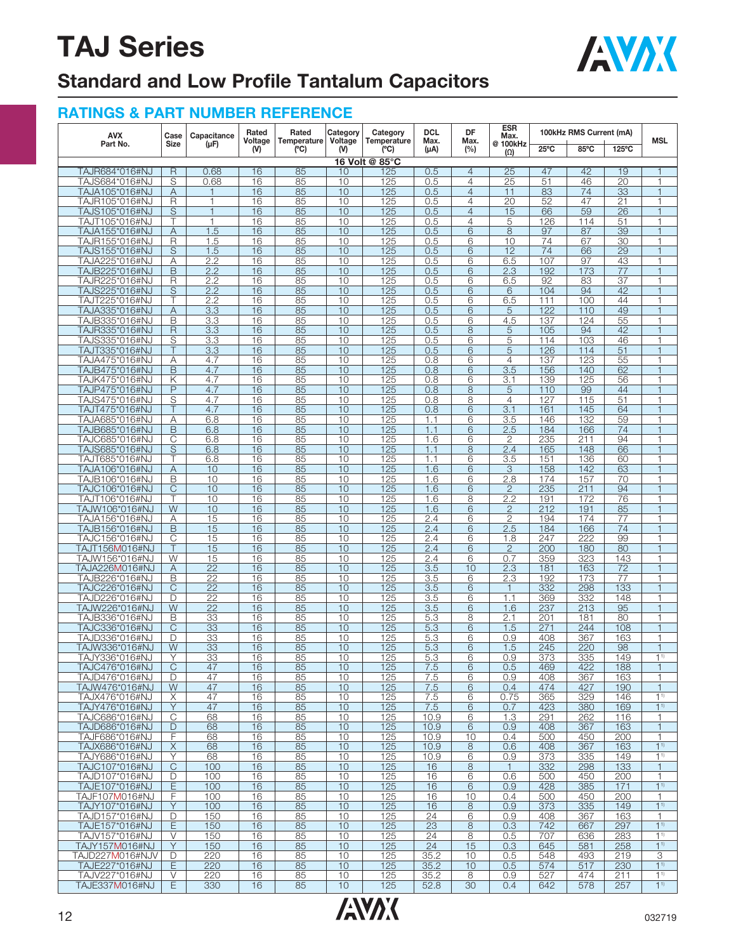

## **Standard and Low Profile Tantalum Capacitors**

| <b>AVX</b><br>Part No.           | Case                         | Capacitance                          | Rated<br>Voltage | Rated    | Category<br>Category<br>Temperature<br>Voltage<br>Temperature<br>Max. | <b>DCL</b>     | DF                      | <b>ESR</b><br>Max.               |                        | 100kHz RMS Current (mA) |            |                       |                                  |
|----------------------------------|------------------------------|--------------------------------------|------------------|----------|-----------------------------------------------------------------------|----------------|-------------------------|----------------------------------|------------------------|-------------------------|------------|-----------------------|----------------------------------|
|                                  | <b>Size</b>                  | (µF)                                 | (V)              | (C)      | $(V)$                                                                 | (°C)           | $(\mu A)$               | Max.<br>(%)                      | @ 100kHz<br>$(\Omega)$ | $25^{\circ}$ C          | 85°C       | 125°C                 | <b>MSL</b>                       |
|                                  |                              |                                      |                  |          |                                                                       | 16 Volt @ 85°C |                         |                                  |                        |                         |            |                       |                                  |
| TAJR684*016#NJ                   | R                            | 0.68                                 | 16               | 85       | 10                                                                    | 125            | 0.5                     | $\overline{4}$                   | 25                     | 47                      | 42         | 19                    | 1                                |
| TAJS684*016#NJ<br>TAJA105*016#NJ | S<br>A                       | 0.68<br>1                            | 16<br>16         | 85<br>85 | 10<br>10                                                              | 125<br>125     | 0.5<br>0.5              | $\overline{4}$<br>$\overline{4}$ | 25<br>11               | 51<br>83                | 46<br>74   | 20<br>$\overline{33}$ | $\mathbf{1}$<br>$\overline{1}$   |
| TAJR105*016#NJ                   | R                            | $\mathbf{1}$                         | 16               | 85       | 10                                                                    | 125            | 0.5                     | $\overline{4}$                   | 20                     | 52                      | 47         | 21                    | $\overline{1}$                   |
| TAJS105*016#NJ                   | $\overline{S}$               | $\mathbf{1}$                         | 16               | 85       | 10                                                                    | 125            | 0.5                     | $\overline{4}$                   | 15                     | 66                      | 59         | $\overline{26}$       | $\overline{1}$                   |
| TAJT105*016#NJ                   |                              | $\mathbf{1}$                         | 16               | 85       | 10                                                                    | 125            | 0.5                     | 4                                | 5                      | 126                     | 114        | $\overline{51}$       | $\mathbf{1}$                     |
| TAJA155*016#NJ                   | A                            | 1.5                                  | 16               | 85       | 10                                                                    | 125            | 0.5                     | 6                                | $\overline{8}$         | 97                      | 87         | 39                    |                                  |
| TAJR155*016#NJ                   | R                            | 1.5                                  | 16               | 85       | 10                                                                    | 125            | 0.5                     | 6                                | 10                     | 74                      | 67         | 30                    | $\overline{1}$                   |
| TAJS155*016#NJ<br>TAJA225*016#NJ | $\overline{S}$               | 1.5<br>2.2                           | 16<br>16         | 85<br>85 | 10<br>10                                                              | 125<br>125     | 0.5<br>0.5              | $6\overline{6}$<br>6             | 12<br>6.5              | 74<br>107               | 66<br>97   | $\overline{29}$<br>43 | $\overline{1}$<br>$\mathbf{1}$   |
| TAJB225*016#NJ                   | Α<br>B                       | 2.2                                  | 16               | 85       | 10                                                                    | 125            | 0.5                     | $\overline{6}$                   | 2.3                    | 192                     | 173        | $\overline{77}$       | $\overline{1}$                   |
| TAJR225*016#NJ                   | R                            | 2.2                                  | 16               | 85       | 10                                                                    | 125            | 0.5                     | 6                                | 6.5                    | 92                      | 83         | $\overline{37}$       |                                  |
| TAJS225*016#NJ                   | S                            | 2.2                                  | 16               | 85       | 10                                                                    | 125            | 0.5                     | $6\overline{6}$                  | 6                      | 104                     | 94         | 42                    | $\overline{1}$                   |
| TAJT225*016#NJ                   |                              | 2.2                                  | 16               | 85       | 10                                                                    | 125            | 0.5                     | 6                                | 6.5                    | 111                     | 100        | 44                    | $\mathbf{1}$                     |
| TAJA335*016#NJ                   | A                            | 3.3                                  | 16               | 85       | 10                                                                    | 125            | 0.5                     | 6                                | 5                      | 122                     | 110        | 49                    |                                  |
| TAJB335*016#NJ                   | B<br>$\overline{\mathsf{R}}$ | $\overline{3.3}$<br>$\overline{3.3}$ | 16<br>16         | 85<br>85 | 10<br>10                                                              | 125<br>125     | 0.5<br>0.5              | 6<br>8                           | 4.5                    | 137<br>105              | 124<br>94  | 55<br>42              | $\overline{1}$<br>$\overline{1}$ |
| TAJR335*016#NJ<br>TAJS335*016#NJ | S                            | 3.3                                  | 16               | 85       | 10                                                                    | 125            | 0.5                     | 6                                | 5<br>5                 | 114                     | 103        | 46                    | $\mathbf{1}$                     |
| TAJT335*016#NJ                   |                              | $\overline{3.3}$                     | 16               | 85       | 10                                                                    | 125            | 0.5                     | 6                                | $\overline{5}$         | 126                     | 114        | $\overline{51}$       | $\overline{1}$                   |
| TAJA475*016#NJ                   | Α                            | 4.7                                  | 16               | 85       | 10                                                                    | 125            | 0.8                     | 6                                | $\overline{4}$         | 137                     | 123        | 55                    | $\overline{1}$                   |
| TAJB475*016#NJ                   | B                            | 4.7                                  | 16               | 85       | 10                                                                    | 125            | 0.8                     | 6                                | $\overline{3.5}$       | 156                     | 140        | 62                    | $\overline{1}$                   |
| TAJK475*016#NJ                   | Κ                            | 4.7                                  | 16               | 85       | 10                                                                    | 125            | 0.8                     | 6                                | 3.1                    | 139                     | 125        | 56                    | $\mathbf{1}$                     |
| TAJP475*016#NJ                   | P                            | 4.7                                  | 16               | 85       | 10                                                                    | 125            | 0.8                     | 8                                | 5                      | 110                     | 99         | 44                    | $\overline{1}$                   |
| TAJS475*016#NJ<br>TAJT475*016#NJ | S<br>Τ                       | 4.7<br>4.7                           | 16<br>16         | 85<br>85 | 10<br>10                                                              | 125<br>125     | 0.8<br>0.8              | 8<br>6                           | $\overline{4}$<br>3.1  | 127<br>161              | 115<br>145 | $\overline{51}$<br>64 | $\overline{1}$                   |
| TAJA685*016#NJ                   | Α                            | 6.8                                  | 16               | 85       | 10                                                                    | 125            | 1.1                     | 6                                | 3.5                    | 146                     | 132        | 59                    | $\mathbf{1}$                     |
| TAJB685*016#NJ                   | B                            | 6.8                                  | 16               | 85       | 10                                                                    | 125            | 1.1                     | 6                                | 2.5                    | 184                     | 166        | 74                    | $\overline{1}$                   |
| TAJC685*016#NJ                   | С                            | 6.8                                  | 16               | 85       | 10                                                                    | 125            | 1.6                     | 6                                | $\overline{2}$         | 235                     | 211        | 94                    | $\overline{1}$                   |
| TAJS685*016#NJ                   | S                            | 6.8                                  | 16               | 85       | 10                                                                    | 125            | 1.1                     | 8                                | 2.4                    | 165                     | 148        | 66                    | $\overline{1}$                   |
| TAJT685*016#NJ                   |                              | 6.8                                  | 16               | 85       | 10                                                                    | 125            | 1.1                     | 6                                | 3.5                    | 151                     | 136        | 60                    | $\mathbf{1}$                     |
| TAJA106*016#NJ                   | A                            | 10                                   | 16               | 85       | 10                                                                    | 125            | 1.6                     | 6                                | 3                      | 158                     | 142        | 63                    | $\overline{1}$                   |
| TAJB106*016#NJ<br>TAJC106*016#NJ | B<br>C                       | 10<br>10                             | 16<br>16         | 85<br>85 | 10<br>10                                                              | 125<br>125     | 1.6<br>1.6              | 6<br>6                           | 2.8<br>$\overline{2}$  | 174<br>235              | 157<br>211 | 70<br>94              | $\overline{1}$                   |
| TAJT106*016#NJ                   |                              | 10                                   | 16               | 85       | 10                                                                    | 125            | 1.6                     | 8                                | 2.2                    | 191                     | 172        | 76                    | $\mathbf{1}$                     |
| TAJW106*016#NJ                   | W                            | 10                                   | 16               | 85       | 10                                                                    | 125            | 1.6                     | 6                                | $\overline{2}$         | 212                     | 191        | 85                    | $\overline{1}$                   |
| TAJA156*016#NJ                   | Α                            | 15                                   | 16               | 85       | 10                                                                    | 125            | 2.4                     | 6                                | $\overline{2}$         | 194                     | 174        | 77                    | $\overline{1}$                   |
| TAJB156*016#NJ                   | B                            | 15                                   | 16               | 85       | 10                                                                    | 125            | 2.4                     | 6                                | 2.5                    | 184                     | 166        | $\overline{74}$       | $\overline{1}$                   |
| TAJC156*016#NJ                   | С                            | 15                                   | 16               | 85       | 10                                                                    | 125            | 2.4                     | 6                                | 1.8                    | 247                     | 222        | 99                    | $\overline{1}$                   |
| TAJT156M016#NJ<br>TAJW156*016#NJ | W                            | 15<br>15                             | 16<br>16         | 85<br>85 | 10<br>10                                                              | 125<br>125     | 2.4<br>2.4              | 6<br>6                           | $\overline{2}$<br>0.7  | 200<br>359              | 180<br>323 | 80<br>143             | $\overline{1}$                   |
| TAJA226M016#NJ                   | A                            | $\overline{22}$                      | 16               | 85       | 10                                                                    | 125            | $\overline{3.5}$        | 10                               | 2.3                    | 181                     | 163        | $\overline{72}$       | $\overline{1}$                   |
| TAJB226*016#NJ                   | Β                            | 22                                   | 16               | 85       | 10                                                                    | 125            | 3.5                     | 6                                | 2.3                    | 192                     | 173        | 77                    | $\mathbf{1}$                     |
| TAJC226*016#NJ                   | Ć                            | $\overline{22}$                      | 16               | 85       | 10                                                                    | 125            | $\overline{3.5}$        | 6                                | $\mathbf{1}$           | 332                     | 298        | 133                   | $\overline{1}$                   |
| TAJD226*016#NJ                   | D                            | 22                                   | 16               | 85       | 10                                                                    | 125            | 3.5                     | 6                                | 1.1                    | 369                     | 332        | 148                   | $\overline{1}$                   |
| TAJW226*016#NJ                   | W                            | 22                                   | 16               | 85       | 10                                                                    | 125            | $\overline{3.5}$        | 6                                | 1.6                    | 237                     | 213        | 95                    | $\overline{1}$                   |
| TAJB336*016#NJ                   | B<br>C                       | 33<br>33                             | 16<br>16         | 85<br>85 | 10<br>10                                                              | 125<br>125     | 5.3<br>$\overline{5.3}$ | 8<br>6                           | 2.1                    | 201<br>271              | 181<br>244 | 80<br>108             | $\overline{1}$                   |
| TAJC336*016#NJ<br>TAJD336*016#NJ | D                            | 33                                   | 16               | 85       | 10                                                                    | 125            | 5.3                     | 6                                | 1.5<br>0.9             | 408                     | 367        | 163                   | $\overline{1}$                   |
| TAJW336*016#NJ                   | W                            | 33                                   | 16               | 85       | 10                                                                    | 125            | 5.3                     | 6                                | 1.5                    | 245                     | 220        | 98                    | $\overline{1}$                   |
| TAJY336*016#NJ                   | Υ                            | 33                                   | 16               | 85       | 10                                                                    | 125            | 5.3                     | 6                                | 0.9                    | 373                     | 335        | 149                   | 1 <sup>1</sup>                   |
| TAJC476*016#NJ                   | С                            | 47                                   | 16               | 85       | 10                                                                    | 125            | 7.5                     | 6                                | 0.5                    | 469                     | 422        | 188                   | -1                               |
| TAJD476*016#NJ                   | D                            | 47                                   | 16               | 85       | 10                                                                    | 125            | 7.5                     | 6                                | 0.9                    | 408                     | 367        | 163                   | $\overline{1}$                   |
| TAJW476*016#NJ                   | W                            | 47                                   | 16               | 85       | 10                                                                    | 125            | 7.5                     | 6                                | 0.4                    | 474                     | 427        | 190                   | $\mathbf{1}$                     |
| TAJX476*016#NJ<br>TAJY476*016#NJ | X<br>Y                       | 47<br>47                             | 16<br>16         | 85<br>85 | 10<br>10                                                              | 125<br>125     | 7.5<br>7.5              | 6<br>6                           | 0.75<br>0.7            | 365<br>423              | 329<br>380 | 146<br>169            | 1 <sup>1</sup><br>1 <sup>1</sup> |
| TAJC686*016#NJ                   | C                            | 68                                   | 16               | 85       | 10                                                                    | 125            | 10.9                    | 6                                | 1.3                    | 291                     | 262        | 116                   | 1                                |
| TAJD686*016#NJ                   | D                            | 68                                   | 16               | 85       | 10                                                                    | 125            | 10.9                    | 6                                | 0.9                    | 408                     | 367        | 163                   | $\mathbf{1}$                     |
| TAJF686*016#NJ                   | F                            | 68                                   | 16               | 85       | 10                                                                    | 125            | 10.9                    | 10                               | 0.4                    | 500                     | 450        | 200                   | $\mathbf{1}$                     |
| TAJX686*016#NJ                   | X                            | 68                                   | 16               | 85       | 10                                                                    | 125            | 10.9                    | 8                                | 0.6                    | 408                     | 367        | 163                   | 1 <sup>1</sup>                   |
| TAJY686*016#NJ                   | Υ                            | 68                                   | 16               | 85       | 10                                                                    | 125            | 10.9                    | 6                                | 0.9                    | 373                     | 335        | 149<br>133            | 1 <sup>1</sup>                   |
| TAJC107*016#NJ<br>TAJD107*016#NJ | C<br>D                       | 100<br>100                           | 16<br>16         | 85<br>85 | 10<br>10                                                              | 125<br>125     | 16<br>16                | 8<br>6                           | $\mathbf{1}$<br>0.6    | 332<br>500              | 298<br>450 | 200                   | $\mathbf{1}$<br>1                |
| TAJE107*016#NJ                   | Ε                            | 100                                  | 16               | 85       | 10                                                                    | 125            | 16                      | 6                                | 0.9                    | 428                     | 385        | 171                   | 1 <sup>1</sup>                   |
| TAJF107M016#NJ                   | F                            | 100                                  | 16               | 85       | 10                                                                    | 125            | 16                      | 10                               | 0.4                    | 500                     | 450        | 200                   | $\mathbf{1}$                     |
| TAJY107*016#NJ                   | Y                            | 100                                  | 16               | 85       | 10                                                                    | 125            | 16                      | 8                                | 0.9                    | 373                     | 335        | 149                   | 1 <sup>1</sup>                   |
| TAJD157*016#NJ                   | D                            | 150                                  | 16               | 85       | 10                                                                    | 125            | 24                      | 6                                | 0.9                    | 408                     | 367        | 163                   | 1                                |
| TAJE157*016#NJ                   | Ε                            | 150                                  | 16               | 85       | 10                                                                    | 125            | 23                      | 8                                | 0.3                    | 742                     | 667        | 297                   | 1 <sup>1</sup>                   |
| TAJV157*016#NJ<br>TAJY157M016#NJ | V<br>Y                       | 150<br>150                           | 16<br>16         | 85<br>85 | 10<br>10                                                              | 125<br>125     | 24<br>24                | 8<br>15                          | 0.5<br>0.3             | 707<br>645              | 636<br>581 | 283<br>258            | 1 <sup>1</sup><br>1 <sup>1</sup> |
| TAJD227M016#NJV                  | D                            | 220                                  | 16               | 85       | 10                                                                    | 125            | 35.2                    | 10                               | 0.5                    | 548                     | 493        | 219                   | 3                                |
| TAJE227*016#NJ                   | Ε                            | 220                                  | 16               | 85       | 10                                                                    | 125            | 35.2                    | 10                               | 0.5                    | 574                     | 517        | 230                   | 1 <sup>1</sup>                   |
| TAJV227*016#NJ                   | V                            | 220                                  | 16               | 85       | 10                                                                    | 125            | 35.2                    | 8                                | 0.9                    | 527                     | 474        | 211                   | 1 <sup>1</sup>                   |
| TAJE337M016#NJ                   | E                            | 330                                  | 16               | 85       | 10                                                                    | 125            | 52.8                    | 30                               | 0.4                    | 642                     | 578        | 257                   | 1 <sup>1</sup>                   |

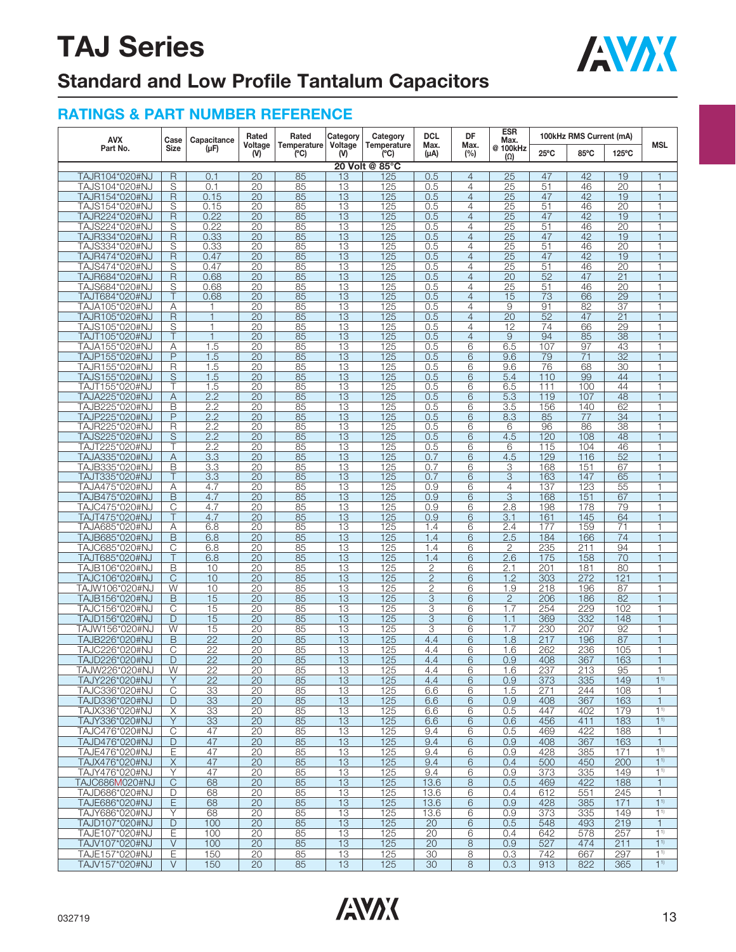

## **Standard and Low Profile Tantalum Capacitors**

| <b>AVX</b>                       | Case                    | Capacitance      | Rated                 | Rated              | Category              | Category           | <b>DCL</b>     | DF             | <b>ESR</b><br>Max.     |                | 100kHz RMS Current (mA) |                 |                          |
|----------------------------------|-------------------------|------------------|-----------------------|--------------------|-----------------------|--------------------|----------------|----------------|------------------------|----------------|-------------------------|-----------------|--------------------------|
| Part No.                         | <b>Size</b>             | $(\mu F)$        | Voltage<br>$W$        | Temperature<br>(C) | Voltage<br>$W$        | Temperature<br>(C) | Max.<br>(µA)   | Max.<br>(%)    | @ 100kHz<br>$(\Omega)$ | $25^{\circ}$ C | 85°C                    | $125^{\circ}$ C | <b>MSL</b>               |
|                                  |                         |                  |                       |                    |                       | 20 Volt @ 85°C     |                |                |                        |                |                         |                 |                          |
| TAJR104*020#NJ                   | $\overline{\mathsf{R}}$ | 0.1              | 20                    | 85                 | 13                    | 125                | 0.5            | $\overline{4}$ | $\overline{25}$        | 47             | 42                      | 19              |                          |
| TAJS104*020#NJ                   | S                       | 0.1              | 20                    | 85                 | 13                    | 125                | 0.5            | $\overline{4}$ | 25                     | 51             | 46                      | $\overline{20}$ | 1                        |
| TAJR154*020#NJ                   | $\overline{\mathsf{R}}$ | 0.15             | 20                    | 85                 | 13                    | 125                | 0.5            | $\overline{4}$ | $\overline{25}$        | 47             | 42                      | 19              | $\mathbf 1$              |
| TAJS154*020#NJ                   | S                       | 0.15             | 20                    | 85                 | 13                    | 125                | 0.5            | $\overline{4}$ | 25                     | 51             | 46                      | 20              | 1                        |
| TAJR224*020#NJ                   | R                       | 0.22             | $\overline{20}$       | 85                 | $\overline{13}$       | 125                | 0.5            | $\overline{4}$ | $\overline{25}$        | 47             | 42                      | 19              | 1                        |
| TAJS224*020#NJ                   | S                       | 0.22             | 20                    | 85                 | 13                    | 125                | 0.5            | $\overline{4}$ | $\overline{25}$        | 51             | 46                      | 20              | $\overline{1}$           |
| TAJR334*020#NJ                   | $\overline{R}$          | 0.33             | 20                    | 85                 | 13                    | 125                | 0.5            | $\overline{4}$ | 25                     | 47             | 42                      | 19              | $\overline{1}$           |
| TAJS334*020#NJ                   | S                       | 0.33             | 20                    | 85                 | 13                    | 125                | 0.5            | $\overline{4}$ | 25                     | 51             | 46                      | $\overline{20}$ | 1                        |
| TAJR474*020#NJ                   | R                       | 0.47             | 20                    | 85                 | 13                    | 125                | 0.5            | $\overline{4}$ | 25                     | 47             | 42                      | 19              | 1                        |
| TAJS474*020#NJ                   | S                       | 0.47             | $\overline{20}$       | 85                 | $\overline{13}$       | 125                | 0.5            | $\overline{4}$ | $\overline{25}$        | 51             | 46                      | $\overline{20}$ | 1                        |
| TAJR684*020#NJ                   | R                       | 0.68             | 20                    | 85                 | 13                    | 125                | 0.5            | $\overline{4}$ | 20                     | 52             | 47                      | 21              | $\mathbf 1$              |
| TAJS684*020#NJ                   | S                       | 0.68             | 20                    | 85                 | 13                    | 125                | 0.5            | $\overline{4}$ | 25                     | 51             | 46                      | 20              | 1                        |
| TAJT684*020#NJ                   | Τ                       | 0.68             | $\overline{20}$       | 85                 | 13                    | 125                | 0.5            | $\overline{4}$ | 15                     | 73             | 66                      | 29              | $\mathbf{1}$             |
|                                  |                         |                  |                       |                    |                       |                    |                | $\overline{4}$ |                        |                |                         |                 | 1                        |
| TAJA105*020#NJ                   | Α                       | $\overline{1}$   | 20<br>$\overline{20}$ | 85<br>85           | 13<br>$\overline{13}$ | 125                | 0.5            | $\overline{4}$ | 9<br>$\overline{20}$   | 91<br>52       | 82<br>47                | 37              | f                        |
| TAJR105*020#NJ                   | R                       |                  |                       |                    |                       | 125                | 0.5            |                |                        |                |                         | $\overline{21}$ |                          |
| TAJS105*020#NJ                   | S                       | $\mathbf{1}$     | $\overline{20}$       | 85                 | 13                    | 125                | 0.5            | $\overline{4}$ | 12                     | 74             | 66                      | 29              | 1                        |
| TAJT105*020#NJ                   | Τ                       | $\overline{1}$   | 20                    | 85                 | 13                    | 125                | 0.5            | $\overline{4}$ | 9                      | 94             | 85                      | 38              | 1                        |
| TAJA155*020#NJ                   | Α                       | 1.5              | 20                    | 85                 | 13                    | 125                | 0.5            | 6              | 6.5                    | 107            | 97                      | 43              | 1                        |
| TAJP155*020#NJ                   | P                       | 1.5              | $\overline{20}$       | 85                 | $\overline{13}$       | 125                | 0.5            | 6              | 9.6                    | 79             | 71                      | $\overline{32}$ |                          |
| TAJR155*020#NJ                   | R                       | 1.5              | 20                    | 85                 | 13                    | 125                | 0.5            | 6              | 9.6                    | 76             | 68                      | 30              | 1                        |
| TAJS155*020#NJ                   | S                       | 1.5              | 20                    | 85                 | 13                    | 125                | 0.5            | 6              | 5.4                    | 110            | 99                      | 44              | $\mathbf 1$              |
| TAJT155*020#NJ                   | Τ                       | 1.5              | 20                    | 85                 | 13                    | 125                | 0.5            | 6              | 6.5                    | 111            | 100                     | 44              | $\overline{\phantom{a}}$ |
| TAJA225*020#NJ                   | Α                       | 2.2              | $\overline{20}$       | 85                 | $\overline{13}$       | 125                | 0.5            | 6              | 5.3                    | 119            | 107                     | 48              | 1                        |
| TAJB225*020#NJ                   | Β                       | 2.2              | 20                    | 85                 | 13                    | 125                | 0.5            | 6              | 3.5                    | 156            | 140                     | 62              | $\overline{1}$           |
| TAJP225*020#NJ                   | $\overline{P}$          | 2.2              | $\overline{20}$       | 85                 | 13                    | 125                | 0.5            | 6              | 8.3                    | 85             | 77                      | $\overline{34}$ | 1                        |
| TAJR225*020#NJ                   | R                       | 2.2              | 20                    | 85                 | 13                    | 125                | 0.5            | 6              | 6                      | 96             | 86                      | 38              | $\mathbf{1}$             |
| TAJS225*020#NJ                   | S                       | 2.2              | 20                    | 85                 | 13                    | 125                | 0.5            | 6              | 4.5                    | 120            | 108                     | 48              | 1                        |
| TAJT225*020#NJ                   | Τ                       | 2.2              | $\overline{20}$       | 85                 | $\overline{13}$       | 125                | 0.5            | 6              | 6                      | 115            | 104                     | 46              | 1                        |
| TAJA335*020#NJ                   | Α                       | 3.3              | 20                    | 85                 | 13                    | 125                | 0.7            | 6              | 4.5                    | 129            | 116                     | 52              | $\mathbf{1}$             |
| TAJB335*020#NJ                   | B                       | 3.3              | $\overline{20}$       | 85                 | 13                    | 125                | 0.7            | 6              | 3                      | 168            | 151                     | 67              | $\overline{\phantom{a}}$ |
| TAJT335*020#NJ                   | Τ                       | $\overline{3.3}$ | 20                    | 85                 | 13                    | 125                | 0.7            | 6              | 3                      | 163            | 147                     | 65              | $\mathbf{1}$             |
| TAJA475*020#NJ                   | Α                       | 4.7              | $\overline{20}$       | 85                 | $\overline{13}$       | 125                | 0.9            | 6              | 4                      | 137            | 123                     | 55              | 1                        |
| TAJB475*020#NJ                   | B                       | 4.7              | $\overline{20}$       | 85                 | $\overline{13}$       | 125                | 0.9            | 6              | 3                      | 168            | 151                     | 67              | $\overline{1}$           |
| TAJC475*020#NJ                   | C                       | 4.7              | 20                    | 85                 | 13                    | 125                | 0.9            | 6              | 2.8                    | 198            | 178                     | 79              | $\mathbf{1}$             |
| TAJT475*020#NJ                   | Τ                       | 4.7              | 20                    | 85                 | 13                    | 125                | 0.9            | 6              | 3.1                    | 161            | 145                     | 64              | 1                        |
| TAJA685*020#NJ                   | Α                       | 6.8              | 20                    | 85                 | 13                    | 125                | 1.4            | 6              | 2.4                    | 177            | 159                     | 71              | 1                        |
| TAJB685*020#NJ                   | B                       | 6.8              | 20                    | 85                 | 13                    | 125                | 1.4            | 6              | 2.5                    | 184            | 166                     | $\overline{74}$ | $\overline{1}$           |
| TAJC685*020#NJ                   | C                       | 6.8              | $\overline{20}$       | 85                 | $\overline{13}$       | 125                | 1.4            | 6              | 2                      | 235            | 211                     | 94              | 1                        |
| TAJT685*020#NJ                   | $\overline{T}$          | 6.8              | 20                    | 85                 | 13                    | 125                | 1.4            | 6              | 2.6                    | 175            | 158                     | $\overline{70}$ | $\mathbf{1}$             |
| TAJB106*020#NJ                   | B                       | 10               | 20                    | 85                 | 13                    | 125                | $\overline{2}$ | 6              | 2.1                    | 201            | 181                     | 80              | $\mathbf{1}$             |
| TAJC106*020#NJ                   | C                       | 10               | $\overline{20}$       | 85                 | $\overline{13}$       | 125                | $\overline{2}$ | 6              | 1.2                    | 303            | 272                     | 121             | $\overline{1}$           |
|                                  | W                       | 10               |                       |                    | 13                    |                    |                |                |                        | 218            |                         | 87              | 1                        |
| TAJW106*020#NJ                   |                         |                  | 20                    | 85                 |                       | 125                | $\mathbf{2}$   | 6              | 1.9                    |                | 196                     |                 | $\overline{1}$           |
| TAJB156*020#NJ                   | B                       | 15               | 20                    | 85                 | 13                    | 125                | 3              | 6              | $\overline{2}$         | 206            | 186                     | 82              |                          |
| TAJC156*020#NJ                   | C                       | 15               | 20                    | 85                 | 13                    | 125                | 3              | 6              | 1.7                    | 254            | 229                     | 102             | 1                        |
| TAJD156*020#NJ                   | D                       | 15               | 20                    | 85                 | 13                    | 125                | $\sqrt{3}$     | 6              | 1.1                    | 369            | 332                     | 148             | $\overline{1}$           |
| TAJW156*020#NJ                   | W                       | 15               | 20                    | 85                 | 13                    | 125                | 3              | 6              | 1.7                    | 230            | 207                     | 92              | 1                        |
| TAJB226*020#NJ                   | B                       | $\overline{22}$  | 20                    | 85                 | 13                    | 125                | 4.4            | 6              | 1.8                    | 217            | 196                     | 87              | 1                        |
| TAJC226*020#NJ                   | C                       | $\overline{22}$  | 20                    | 85                 | 13                    | 125                | 4.4            | 6              | 1.6                    | 262            | 236                     | 105             | 1                        |
| TAJD226*020#NJ                   | D                       | 22               | 20                    | 85                 | 13                    | 125                | 4.4            | 6              | 0.9                    | 408            | 367                     | 163             |                          |
| TAJW226*020#NJ                   | W                       | 22               | 20                    | 85                 | 13                    | 125                | 4.4            | 6              | 1.6                    | 237            | 213                     | 95              |                          |
| TAJY226*020#NJ                   | Y                       | 22               | 20                    | 85                 | 13                    | 125                | 4.4            | 6              | 0.9                    | 373            | 335                     | 149             | 1 <sup>1</sup>           |
| TAJC336*020#NJ                   | $\mathsf C$             | 33               | 20                    | 85                 | 13                    | 125                | 6.6            | 6              | 1.5                    | 271            | 244                     | 108             | $\mathbf{1}$             |
| TAJD336*020#NJ                   | D                       | 33               | $\overline{20}$       | 85                 | 13                    | 125                | 6.6            | 6              | 0.9                    | 408            | 367                     | 163             | $\mathbf{1}$             |
| TAJX336*020#NJ                   | Χ                       | 33               | 20                    | 85                 | 13                    | 125                | 6.6            | 6              | 0.5                    | 447            | 402                     | 179             | $1^{1}$                  |
| TAJY336*020#NJ                   | Y                       | 33               | 20                    | 85                 | 13                    | 125                | 6.6            | 6              | 0.6                    | 456            | 411                     | 183             | $1^{1}$                  |
| TAJC476*020#NJ                   | С                       | 47               | 20                    | 85                 | 13                    | 125                | 9.4            | 6              | 0.5                    | 469            | 422                     | 188             | $\mathbf{1}$             |
| TAJD476*020#NJ                   | D                       | 47               | 20                    | 85                 | 13                    | 125                | 9.4            | 6              | 0.9                    | 408            | 367                     | 163             | $\mathbf{1}$             |
| TAJE476*020#NJ                   | Ε                       | 47               | 20                    | 85                 | 13                    | 125                | 9.4            | 6              | 0.9                    | 428            | 385                     | 171             | 1 <sup>1</sup>           |
| TAJX476*020#NJ                   | X                       | 47               | 20                    | 85                 | 13                    | 125                | 9.4            | 6              | 0.4                    | 500            | 450                     | 200             | 1 <sup>1</sup>           |
| TAJY476*020#NJ                   | Υ                       | 47               | 20                    | 85                 | 13                    | 125                | 9.4            | 6              | 0.9                    | 373            | 335                     | 149             | $1^{1}$                  |
|                                  | $\mathsf{C}$            |                  | 20                    |                    | 13                    | 125                |                | 8              |                        | 469            |                         |                 | $\mathbf{1}$             |
| TAJC686M020#NJ<br>TAJD686*020#NJ |                         | 68               |                       | 85                 |                       |                    | 13.6           |                | 0.5                    |                | 422                     | 188             |                          |
|                                  | D                       | 68               | 20                    | 85                 | 13                    | 125                | 13.6           | 6              | 0.4                    | 612            | 551                     | 245             | $\mathbf{1}$             |
| TAJE686*020#NJ                   | E                       | 68               | 20                    | 85                 | 13                    | 125                | 13.6           | 6              | 0.9                    | 428            | 385                     | 171             | $1^{1}$                  |
| TAJY686*020#NJ                   | Y                       | 68               | 20                    | 85                 | 13                    | 125                | 13.6           | 6              | 0.9                    | 373            | 335                     | 149             | $1^{1}$                  |
| TAJD107*020#NJ                   | D                       | 100              | $\overline{20}$       | 85                 | 13                    | 125                | 20             | 6              | 0.5                    | 548            | 493                     | 219             | $\mathbf{1}$             |
| TAJE107*020#NJ                   | Ε                       | 100              | 20                    | 85                 | 13                    | 125                | 20             | 6              | 0.4                    | 642            | 578                     | 257             | $1^{1}$                  |
| TAJV107*020#NJ                   | $\vee$                  | 100              | 20                    | 85                 | 13                    | 125                | 20             | 8              | 0.9                    | 527            | 474                     | 211             | $1^{1}$                  |
| TAJE157*020#NJ                   | Е                       | 150              | 20                    | 85                 | 13                    | 125                | 30             | 8              | 0.3                    | 742            | 667                     | 297             | 1 <sup>1</sup>           |
| TAJV157*020#NJ                   | V                       | 150              | 20                    | 85                 | 13                    | 125                | 30             | 8              | 0.3                    | 913            | 822                     | 365             | $1^{1}$                  |

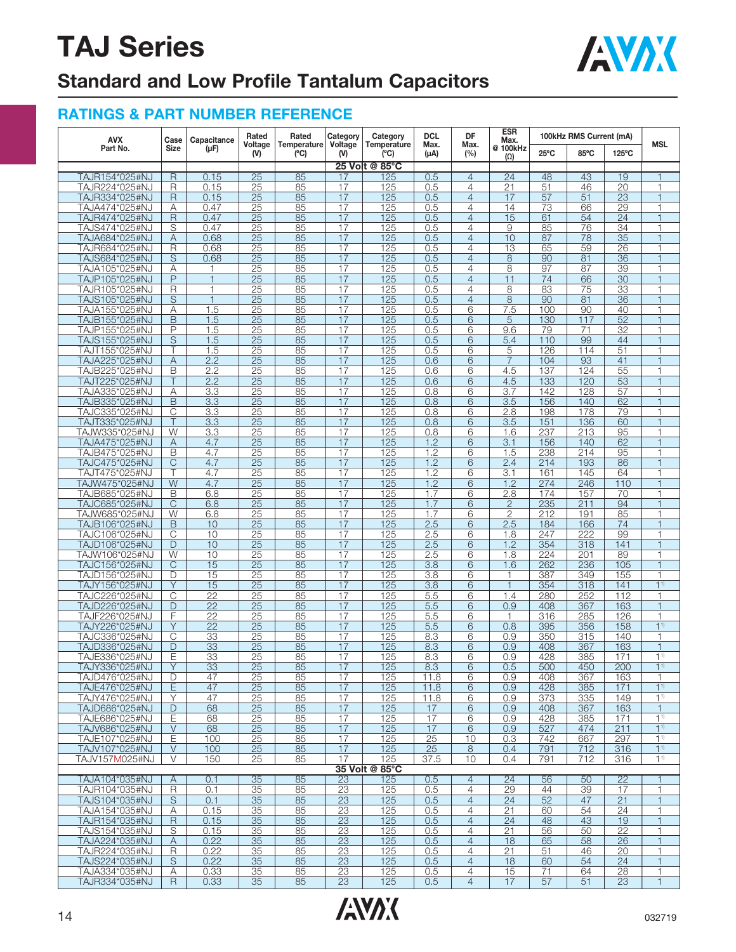

## **Standard and Low Profile Tantalum Capacitors**

| <b>AVX</b>                       | Case             | Capacitance                        | Rated                              | Rated               | Category       | Category            | <b>DCL</b>       | DF                               | ESR<br>Max.            | 100kHz RMS Current (mA) |            |                 |                                  |
|----------------------------------|------------------|------------------------------------|------------------------------------|---------------------|----------------|---------------------|------------------|----------------------------------|------------------------|-------------------------|------------|-----------------|----------------------------------|
| Part No.                         | <b>Size</b>      | (µF)                               | Voltage<br>(V)                     | Temperature<br>(°C) | Voltage<br>(V) | Temperature<br>(°C) | Max.<br>(µA)     | Max.<br>(%)                      | @ 100kHz<br>$(\Omega)$ | $25^{\circ}$ C          | 85°C       | 125°C           | <b>MSL</b>                       |
|                                  |                  |                                    |                                    |                     |                | 25 Volt @ 85°C      |                  |                                  |                        |                         |            |                 |                                  |
| TAJR154*025#NJ                   | R                | 0.15                               | 25                                 | 85                  | 17             | 125                 | 0.5              | $\overline{4}$                   | 24                     | 48                      | 43         | 19              | $\mathbf{1}$                     |
| TAJR224*025#NJ                   | R                | 0.15                               | 25                                 | 85                  | 17             | 125                 | 0.5              | $\overline{4}$                   | 21                     | 51                      | 46         | 20              | 1                                |
| TAJR334*025#NJ                   | $\mathsf R$      | 0.15                               | $\overline{25}$                    | 85                  | 17             | 125                 | 0.5              | $\overline{4}$                   | 17                     | 57                      | 51         | $\overline{23}$ | $\mathbf{1}$                     |
| TAJA474*025#NJ<br>TAJR474*025#NJ | Α<br>$\mathsf R$ | 0.47<br>0.47                       | 25<br>25                           | 85<br>85            | 17<br>17       | 125<br>125          | 0.5              | $\overline{4}$<br>$\overline{4}$ | 14<br>15               | 73<br>61                | 66<br>54   | 29<br>24        | 1<br>$\mathbf{1}$                |
| TAJS474*025#NJ                   | S                | 0.47                               | $\overline{25}$                    | 85                  | 17             | 125                 | 0.5<br>0.5       | 4                                | 9                      | 85                      | 76         | $\overline{34}$ | 1                                |
| TAJA684*025#NJ                   | Α                | 0.68                               | 25                                 | 85                  | 17             | 125                 | 0.5              | $\overline{4}$                   | 10                     | 87                      | 78         | 35              | $\mathbf{1}$                     |
| TAJR684*025#NJ                   | R                | 0.68                               | 25                                 | 85                  | 17             | 125                 | 0.5              | $\overline{4}$                   | 13                     | 65                      | 59         | 26              | 1                                |
| TAJS684*025#NJ                   | S                | 0.68                               | 25                                 | 85                  | 17             | 125                 | 0.5              | $\overline{4}$                   | 8                      | 90                      | 81         | 36              | 1                                |
| TAJA105*025#NJ                   | Α                | 1                                  | 25                                 | 85                  | 17             | 125                 | 0.5              | $\overline{4}$                   | 8                      | 97                      | 87         | 39              | 1                                |
| TAJP105*025#NJ                   | P                | $\mathbf{1}$                       | 25                                 | 85                  | 17             | 125                 | 0.5              | $\overline{4}$                   | 11                     | 74                      | 66         | 30              | $\overline{1}$                   |
| TAJR105*025#NJ                   | R                | $\mathbf{1}$                       | $\overline{25}$                    | 85                  | 17             | 125                 | 0.5              | 4                                | 8                      | 83                      | 75         | $\overline{33}$ | 1                                |
| TAJS105*025#NJ                   | S                | $\overline{1}$                     | $\overline{25}$                    | 85                  | 17             | 125                 | 0.5              | $\overline{4}$                   | $\overline{8}$         | 90                      | 81         | 36              | $\overline{1}$                   |
| TAJA155*025#NJ                   | Α                | 1.5                                | 25                                 | 85                  | 17             | 125                 | 0.5              | 6                                | 7.5                    | 100                     | 90         | 40              | 1                                |
| TAJB155*025#NJ                   | B<br>P           | 1.5                                | $\overline{25}$                    | 85<br>85            | 17             | 125<br>125          | 0.5              | 6                                | 5                      | 130                     | 117        | 52<br>32        | $\mathbf{1}$                     |
| TAJP155*025#NJ<br>TAJS155*025#NJ | S                | 1.5<br>1.5                         | 25<br>25                           | 85                  | 17<br>17       | 125                 | 0.5<br>0.5       | 6<br>6                           | 9.6<br>5.4             | 79<br>110               | 71<br>99   | 44              | 1<br>$\mathbf{1}$                |
| TAJT155*025#NJ                   | Τ                | 1.5                                | 25                                 | 85                  | 17             | 125                 | 0.5              | 6                                | 5                      | 126                     | 114        | $\overline{51}$ | 1                                |
| TAJA225*025#NJ                   | Α                | 2.2                                | 25                                 | 85                  | 17             | 125                 | 0.6              | 6                                | $\overline{7}$         | 104                     | 93         | 41              | $\mathbf{1}$                     |
| TAJB225*025#NJ                   | B                | 2.2                                | 25                                 | 85                  | 17             | 125                 | 0.6              | 6                                | 4.5                    | 137                     | 124        | 55              | 1                                |
| TAJT225*025#NJ                   | Τ                | 2.2                                | 25                                 | 85                  | 17             | 125                 | 0.6              | 6                                | 4.5                    | 133                     | 120        | 53              | 1                                |
| TAJA335*025#NJ                   | Α                | 3.3                                | 25                                 | 85                  | 17             | 125                 | 0.8              | 6                                | 3.7                    | 142                     | 128        | 57              | 1                                |
| TAJB335*025#NJ                   | B                | 3.3                                | 25                                 | 85                  | 17             | 125                 | 0.8              | 6                                | 3.5                    | 156                     | 140        | 62              | $\overline{1}$                   |
| TAJC335*025#NJ                   | С                | $\overline{3.3}$                   | $\overline{25}$                    | 85                  | 17             | 125                 | 0.8              | 6                                | 2.8                    | 198                     | 178        | 79              | 1                                |
| TAJT335*025#NJ                   | T                | 3.3                                | $\overline{25}$                    | 85                  | 17             | 125                 | 0.8              | 6                                | 3.5                    | 151                     | 136        | 60              | $\overline{1}$                   |
| TAJW335*025#NJ                   | W                | 3.3                                | 25                                 | 85                  | 17             | 125                 | 0.8              | 6                                | 1.6                    | 237                     | 213        | 95              | 1                                |
| TAJA475*025#NJ                   | Α                | 4.7                                | $\overline{25}$                    | 85                  | 17             | 125                 | 1.2              | 6                                | 3.1                    | 156                     | 140        | 62              | $\mathbf{1}$                     |
| TAJB475*025#NJ                   | B<br>C           | 4.7<br>4.7                         | 25<br>25                           | 85<br>85            | 17<br>17       | 125<br>125          | 1.2<br>1.2       | 6<br>6                           | 1.5<br>2.4             | 238<br>214              | 214<br>193 | 95              | 1<br>$\mathbf{1}$                |
| TAJC475*025#NJ<br>TAJT475*025#NJ | Τ                | 4.7                                | $\overline{25}$                    | 85                  | 17             | 125                 | $\overline{1.2}$ | 6                                | 3.1                    | 161                     | 145        | 86<br>64        | 1                                |
| TAJW475*025#NJ                   | W                | 4.7                                | 25                                 | 85                  | 17             | 125                 | 1.2              | 6                                | 1.2                    | 274                     | 246        | 110             | $\mathbf{1}$                     |
| TAJB685*025#NJ                   | B                | 6.8                                | 25                                 | 85                  | 17             | 125                 | 1.7              | 6                                | 2.8                    | 174                     | 157        | 70              | 1                                |
| TAJC685*025#NJ                   | С                | 6.8                                | 25                                 | 85                  | 17             | 125                 | 1.7              | 6                                | $\mathbf{2}$           | 235                     | 211        | 94              | $\mathbf{1}$                     |
| TAJW685*025#NJ                   | W                | 6.8                                | 25                                 | 85                  | 17             | 125                 | 1.7              | 6                                | $\overline{2}$         | 212                     | 191        | 85              | 1                                |
| TAJB106*025#NJ                   | B                | 10                                 | 25                                 | 85                  | 17             | 125                 | 2.5              | 6                                | 2.5                    | 184                     | 166        | 74              | $\overline{1}$                   |
| TAJC106*025#NJ                   | С                | 10                                 | $\overline{25}$                    | 85                  | 17             | 125                 | 2.5              | 6                                | 1.8                    | 247                     | 222        | 99              | 1                                |
| TAJD106*025#NJ                   | D                | 10                                 | $\overline{25}$                    | 85                  | 17             | 125                 | 2.5              | $\overline{6}$                   | 1.2                    | 354                     | 318        | 141             | $\mathbf{1}$                     |
| TAJW106*025#NJ                   | W                | 10                                 | 25                                 | 85                  | 17             | 125                 | 2.5              | 6                                | 1.8                    | 224                     | 201        | 89              | 1                                |
| TAJC156*025#NJ                   | $\mathsf{C}$     | 15                                 | $\overline{25}$                    | 85                  | 17             | 125                 | 3.8              | 6                                | 1.6                    | 262                     | 236        | 105             | $\mathbf{1}$                     |
| TAJD156*025#NJ                   | D                | 15                                 | 25                                 | 85                  | 17             | 125                 | 3.8              | 6                                | 1                      | 387                     | 349        | 155             | 1                                |
| TAJY156*025#NJ                   | Y                | 15                                 | 25                                 | 85                  | 17             | 125                 | 3.8              | 6                                | $\mathbf{1}$           | 354                     | 318        | 141             | 1 <sup>1</sup>                   |
| TAJC226*025#NJ                   | С                | $\overline{22}$<br>$\overline{22}$ | $\overline{25}$<br>$\overline{25}$ | 85                  | 17<br>17       | 125                 | 5.5              | 6<br>6                           | 1.4<br>0.9             | 280                     | 252<br>367 | 112<br>163      | 1<br>$\mathbf{1}$                |
| TAJD226*025#NJ<br>TAJF226*025#NJ | D<br>F           | 22                                 | 25                                 | 85<br>85            | 17             | 125<br>125          | 5.5<br>5.5       | 6                                | $\mathbf{1}$           | 408<br>316              | 285        | 126             | $\mathbf{1}$                     |
| TAJY226*025#NJ                   | Υ                | $\overline{22}$                    | 25                                 | 85                  | 17             | 125                 | 5.5              | 6                                | 0.8                    | 395                     | 356        | 158             | 1 <sup>1</sup>                   |
| TAJC336*025#NJ                   | C                | 33                                 | 25                                 | 85                  | 17             | 125                 | 8.3              | 6                                | 0.9                    | 350                     | 315        | 140             | 1                                |
| TAJD336*025#NJ                   | D                | 33                                 | 25                                 | 85                  | 17             | 125                 | 8.3              | 6                                | 0.9                    | 408                     | 367        | 163             | $\mathbf{1}$                     |
| TAJE336*025#NJ                   | Ε                | 33                                 | 25                                 | 85                  | 17             | 125                 | 8.3              | 6                                | 0.9                    | 428                     | 385        | 171             | 1 <sup>1</sup>                   |
| TAJY336*025#NJ                   | Ÿ                | 33                                 | $\overline{25}$                    | 85                  | 17             | 125                 | 8.3              | 6                                | 0.5                    | 500                     | 450        | 200             | $1^{1}$                          |
| TAJD476*025#NJ                   | D                | 47                                 | 25                                 | 85                  | 17             | 125                 | 11.8             | 6                                | 0.9                    | 408                     | 367        | 163             | $\mathbf{1}$                     |
| TAJE476*025#NJ                   | E                | 47                                 | 25                                 | 85                  | 17             | 125                 | 11.8             | 6                                | 0.9                    | 428                     | 385        | 171             | 1 <sup>1</sup>                   |
| TAJY476*025#NJ                   | Y                | 47                                 | 25                                 | 85                  | 17             | 125                 | 11.8             | 6                                | 0.9                    | 373                     | 335        | 149             | $1^{1}$                          |
| TAJD686*025#NJ                   | D                | 68                                 | 25                                 | 85                  | 17             | 125                 | 17               | 6                                | 0.9                    | 408                     | 367        | 163             | $\mathbf{1}$                     |
| TAJE686*025#NJ                   | Е                | 68                                 | $\overline{25}$                    | 85                  | 17             | 125                 | 17               | 6                                | 0.9                    | 428                     | 385        | 171             | 1 <sup>1</sup>                   |
| TAJV686*025#NJ                   | V                | 68                                 | 25                                 | 85                  | 17             | 125                 | 17               | 6                                | 0.9                    | 527                     | 474        | 211             | 1 <sup>1</sup>                   |
| TAJE107*025#NJ                   | E                | 100                                | 25                                 | 85                  | 17<br>17       | 125                 | 25               | 10                               | 0.3                    | 742                     | 667        | 297             | 1 <sup>1</sup><br>1 <sup>1</sup> |
| TAJV107*025#NJ<br>TAJV157M025#NJ | V<br>V           | 100<br>150                         | 25<br>25                           | 85<br>85            | 17             | 125<br>125          | 25<br>37.5       | 8<br>10                          | 0.4<br>0.4             | 791<br>791              | 712<br>712 | 316<br>316      | $1^{1}$                          |
|                                  |                  |                                    |                                    |                     |                | 35 Volt @ 85°C      |                  |                                  |                        |                         |            |                 |                                  |
| TAJA104*035#NJ                   | Α                | 0.1                                | 35                                 | 85                  | 23             | 125                 | 0.5              | $\overline{4}$                   | 24                     | 56                      | 50         | $\overline{22}$ | 1                                |
| TAJR104*035#NJ                   | $\overline{R}$   | 0.1                                | 35                                 | 85                  | 23             | 125                 | 0.5              | $\overline{4}$                   | 29                     | 44                      | 39         | 17              | $\mathbf{1}$                     |
| TAJS104*035#NJ                   | S                | 0.1                                | 35                                 | 85                  | 23             | 125                 | 0.5              | $\overline{4}$                   | 24                     | 52                      | 47         | 21              | $\mathbf{1}$                     |
| TAJA154*035#NJ                   | Α                | 0.15                               | 35                                 | 85                  | 23             | 125                 | 0.5              | 4                                | 21                     | 60                      | 54         | $\overline{24}$ | $\mathbf{1}$                     |
| TAJR154*035#NJ                   | $\mathsf R$      | 0.15                               | 35                                 | 85                  | 23             | 125                 | 0.5              | $\overline{4}$                   | 24                     | 48                      | 43         | 19              | $\mathbf{1}$                     |
| TAJS154*035#NJ                   | S                | 0.15                               | 35                                 | 85                  | 23             | 125                 | 0.5              | $\overline{4}$                   | 21                     | 56                      | 50         | 22              | $\mathbf{1}$                     |
| TAJA224*035#NJ                   | A                | 0.22                               | 35                                 | 85                  | 23             | 125                 | 0.5              | $\overline{4}$                   | 18                     | 65                      | 58         | 26              | $\mathbf{1}$                     |
| TAJR224*035#NJ                   | R                | 0.22                               | 35                                 | 85                  | 23             | 125                 | 0.5              | $\overline{4}$                   | 21                     | 51                      | 46         | 20              | $\mathbf{1}$                     |
| TAJS224*035#NJ                   | S                | 0.22                               | 35                                 | 85                  | 23             | 125                 | 0.5              | $\overline{4}$                   | 18                     | 60                      | 54         | 24              | $\mathbf{1}$                     |
| TAJA334*035#NJ                   | Α                | 0.33                               | 35                                 | 85                  | 23             | 125                 | 0.5              | $\overline{4}$                   | 15                     | 71                      | 64         | 28              | 1                                |
| TAJR334*035#NJ                   | R                | 0.33                               | 35                                 | 85                  | 23             | 125                 | 0.5              | $\overline{4}$                   | 17                     | 57                      | 51         | 23              | $\mathbf{1}$                     |

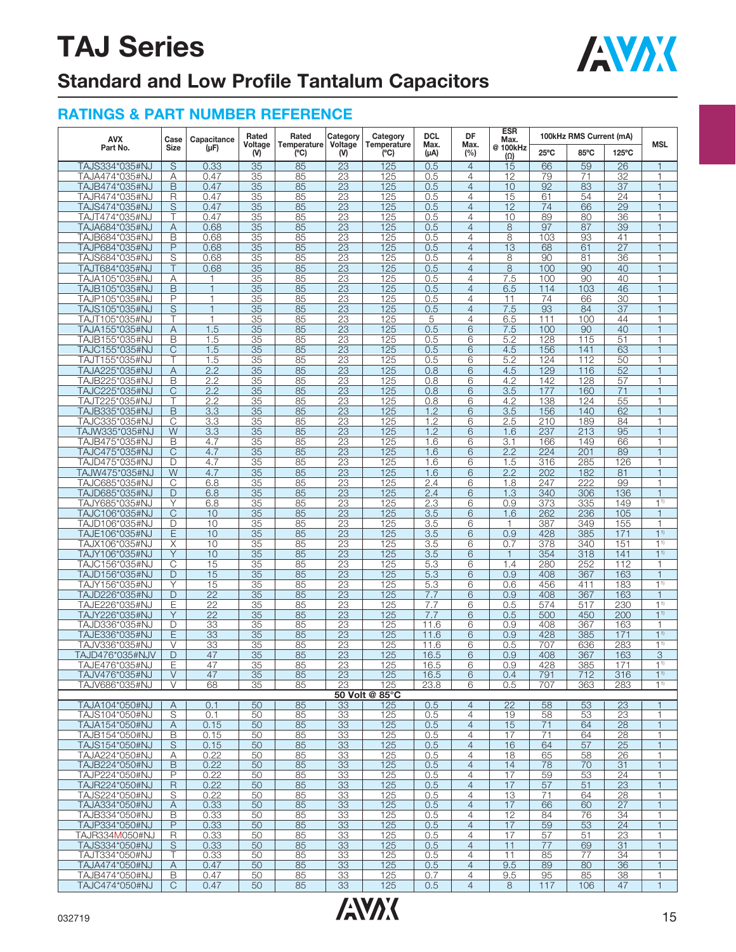

## **Standard and Low Profile Tantalum Capacitors**

| AVX                               | Case                | Capacitance           | Rated                 | Rated<br>Temperature<br>(C) | Category<br>Voltage<br>(V) | Category<br>Temperature<br>(C) | <b>DCL</b><br>Max.<br>(µA) | DF<br>Max.<br>$(\%)$             | <b>ESR</b><br>Max.    | 100kHz RMS Current (mA) |                       |                       | <b>MSL</b>                     |
|-----------------------------------|---------------------|-----------------------|-----------------------|-----------------------------|----------------------------|--------------------------------|----------------------------|----------------------------------|-----------------------|-------------------------|-----------------------|-----------------------|--------------------------------|
| Part No.                          | Size                | $(\mu F)$             | Voltage<br>(V)        |                             |                            |                                |                            |                                  | @100kHz<br>$(\Omega)$ | $25^{\circ}$ C          | 85°C                  | 125°C                 |                                |
| TAJS334*035#NJ                    | S                   | 0.33                  | 35                    | 85                          | 23                         | 125                            | 0.5                        | $\overline{4}$                   | 15                    | 66                      | 59                    | 26                    |                                |
| TAJA474*035#NJ<br>TAJB474*035#NJ  | A<br>B              | 0.47<br>0.47          | 35<br>35              | 85<br>85                    | 23<br>23                   | 125<br>125                     | 0.5<br>0.5                 | 4<br>4                           | 12<br>10              | 79<br>92                | 71<br>83              | 32<br>$\overline{37}$ | 1                              |
| TAJR474*035#NJ                    | R                   | 0.47                  | 35                    | 85                          | 23                         | 125                            | 0.5                        | 4                                | 15                    | 61                      | 54                    | 24                    | 1                              |
| TAJS474*035#NJ                    | S                   | 0.47                  | 35                    | 85                          | 23                         | 125                            | 0.5                        | $\overline{4}$                   | 12                    | 74                      | 66                    | 29                    |                                |
| TAJT474*035#NJ                    |                     | 0.47                  | $\overline{35}$       | 85                          | $\overline{23}$            | 125                            | 0.5                        | 4                                | 10                    | 89                      | 80                    | 36                    |                                |
| TAJA684*035#NJ                    | A                   | 0.68                  | 35                    | 85                          | 23                         | 125                            | 0.5                        | $\overline{4}$                   | 8                     | 97                      | 87                    | 39                    |                                |
| TAJB684*035#NJ                    | B                   | 0.68                  | 35                    | 85                          | 23                         | 125                            | 0.5                        | 4                                | 8                     | 103                     | 93                    | 41                    | 1                              |
| TAJP684*035#NJ                    | P                   | 0.68                  | 35                    | 85                          | $\overline{23}$            | 125                            | 0.5                        | $\overline{4}$                   | $\overline{13}$       | 68                      | 61                    | $\overline{27}$       | 1                              |
| TAJS684*035#NJ<br>TAJT684*035#NJ  | S<br>Τ              | 0.68<br>0.68          | 35<br>35              | 85<br>85                    | 23<br>23                   | 125<br>125                     | 0.5<br>0.5                 | 4<br>$\overline{4}$              | 8<br>8                | 90<br>100               | 81<br>90              | 36<br>40              |                                |
| TAJA105*035#NJ                    | Α                   |                       | 35                    | 85                          | $\overline{23}$            | 125                            | 0.5                        | 4                                | $\overline{7.5}$      | 100                     | 90                    | 40                    |                                |
| TAJB105*035#NJ                    | B                   |                       | 35                    | 85                          | 23                         | 125                            | 0.5                        | 4                                | 6.5                   | 114                     | 103                   | 46                    |                                |
| TAJP105*035#NJ                    | P                   | $\mathbf{1}$          | 35                    | 85                          | 23                         | 125                            | 0.5                        | $\overline{4}$                   | 11                    | 74                      | 66                    | 30                    | $\overline{1}$                 |
| TAJS105*035#NJ                    | S                   | $\overline{1}$        | 35                    | 85                          | 23                         | 125                            | 0.5                        | 4                                | 7.5                   | 93                      | 84                    | $\overline{37}$       |                                |
| TAJT105*035#NJ                    | Τ                   | $\mathbf 1$<br>1.5    | 35<br>35              | 85<br>85                    | 23                         | 125<br>125                     | 5<br>0.5                   | 4<br>6                           | 6.5                   | 111<br>100              | 100                   | 44<br>40              |                                |
| TAJA155*035#NJ<br>TAJB155*035#NJ  | A<br>B              | 1.5                   | $\overline{35}$       | 85                          | 23<br>$\overline{23}$      | 125                            | 0.5                        | 6                                | 7.5<br>5.2            | 128                     | 90<br>115             | 51                    |                                |
| TAJC155*035#NJ                    | $\mathsf{C}$        | 1.5                   | 35                    | 85                          | 23                         | 125                            | 0.5                        | 6                                | 4.5                   | 156                     | 141                   | 63                    |                                |
| TAJT155*035#NJ                    | Τ                   | 1.5                   | 35                    | 85                          | 23                         | 125                            | 0.5                        | 6                                | 5.2                   | 124                     | 112                   | 50                    | 1                              |
| TAJA225*035#NJ                    | Α                   | 2.2                   | $\overline{35}$       | 85                          | $\overline{23}$            | 125                            | 0.8                        | 6                                | 4.5                   | 129                     | 116                   | 52                    | 1                              |
| TAJB225*035#NJ                    | B                   | 2.2                   | 35                    | 85                          | 23                         | 125                            | 0.8                        | 6                                | 4.2                   | 142                     | 128                   | 57                    |                                |
| TAJC225*035#NJ<br>TAJT225*035#NJ  | $\mathsf{C}$        | 2.2<br>2.2            | 35<br>$\overline{35}$ | 85<br>85                    | 23<br>$\overline{23}$      | 125<br>125                     | 0.8<br>0.8                 | 6<br>6                           | 3.5<br>4.2            | 177<br>138              | 160<br>124            | $\overline{71}$<br>55 |                                |
| TAJB335*035#NJ                    | B                   | 3.3                   | 35                    | 85                          | 23                         | 125                            | 1.2                        | 6                                | 3.5                   | 156                     | 140                   | 62                    |                                |
| TAJC335*035#NJ                    | C                   | 3.3                   | 35                    | 85                          | 23                         | 125                            | 1.2                        | 6                                | 2.5                   | 210                     | 189                   | 84                    | $\overline{1}$                 |
| TAJW335*035#NJ                    | $\overline{W}$      | 3.3                   | 35                    | 85                          | 23                         | 125                            | 1.2                        | 6                                | 1.6                   | 237                     | 213                   | 95                    |                                |
| TAJB475*035#NJ                    | B                   | 4.7                   | 35                    | 85                          | 23                         | 125                            | 1.6                        | 6                                | 3.1                   | 166                     | 149                   | 66                    | $\overline{1}$                 |
| TAJC475*035#NJ                    | C<br>D              | 4.7<br>4.7            | 35                    | 85                          | 23                         | 125                            | 1.6                        | 6                                | 2.2                   | 224                     | 201<br>285            | 89                    |                                |
| TAJD475*035#NJ<br>TAJW475*035#NJ  | W                   | 4.7                   | 35<br>35              | 85<br>85                    | $\overline{23}$<br>23      | 125<br>125                     | 1.6<br>1.6                 | 6<br>6                           | 1.5<br>2.2            | 316<br>202              | 182                   | 126<br>81             |                                |
| TAJC685*035#NJ                    | C                   | 6.8                   | 35                    | 85                          | 23                         | 125                            | 2.4                        | 6                                | 1.8                   | 247                     | 222                   | 99                    | $\overline{1}$                 |
| TAJD685*035#NJ                    | D                   | 6.8                   | $\overline{35}$       | 85                          | $\overline{23}$            | 125                            | 2.4                        | 6                                | 1.3                   | 340                     | 306                   | 136                   | 1                              |
| TAJY685*035#NJ                    | Y                   | 6.8                   | 35                    | 85                          | 23                         | 125                            | 2.3                        | 6                                | 0.9                   | 373                     | 335                   | 149                   | $1^{1}$                        |
| TAJC106*035#NJ                    | C                   | 10                    | 35                    | 85                          | 23                         | 125                            | 3.5                        | 6                                | 1.6                   | 262                     | 236                   | 105                   |                                |
| TAJD106*035#NJ<br>TAJE106*035#NJ  | D<br>E              | 10<br>10              | 35<br>35              | 85<br>85                    | $\overline{23}$<br>23      | 125<br>125                     | 3.5<br>3.5                 | 6<br>6                           | 1<br>0.9              | 387<br>428              | 349<br>385            | 155<br>171            | 1 <sup>1</sup>                 |
| TAJX106*035#NJ                    | X                   | 10                    | 35                    | 85                          | 23                         | $\overline{125}$               | 3.5                        | 6                                | 0.7                   | 378                     | 340                   | 151                   | 1 <sup>1</sup>                 |
| TAJY106*035#NJ                    | Y                   | 10                    | 35                    | 85                          | 23                         | 125                            | 3.5                        | 6                                | 1                     | 354                     | 318                   | 141                   | 1 <sup>1</sup>                 |
| TAJC156*035#NJ                    | C                   | 15                    | 35                    | 85                          | 23                         | 125                            | 5.3                        | 6                                | 1.4                   | 280                     | 252                   | 112                   | 1                              |
| TAJD156*035#NJ                    | D                   | 15                    | 35                    | 85                          | 23                         | 125                            | 5.3                        | 6                                | 0.9                   | 408                     | 367                   | 163                   | 1                              |
| TAJY156*035#NJ<br>TAJD226*035#NJ  | Υ<br>D              | 15<br>$\overline{22}$ | $\overline{35}$<br>35 | 85<br>85                    | $\overline{23}$<br>23      | 125<br>125                     | 5.3<br>7.7                 | 6<br>6                           | 0.6<br>0.9            | 456<br>408              | 411<br>367            | 183<br>163            | 1 <sup>1</sup><br>$\mathbf{1}$ |
| TAJE226*035#NJ                    | Е                   | $\overline{22}$       | 35                    | 85                          | 23                         | 125                            | 7.7                        | 6                                | 0.5                   | 574                     | 517                   | 230                   | 1 <sup>1</sup>                 |
| TAJY226*035#NJ                    | Y                   | $\overline{22}$       | 35                    | 85                          | 23                         | 125                            | 7.7                        | 6                                | 0.5                   | 500                     | 450                   | 200                   | $1^{1}$                        |
| TAJD336*035#NJ                    | D                   | 33                    | 35                    | 85                          | 23                         | 125                            | 11.6                       | 6                                | 0.9                   | 408                     | 367                   | 163                   | 1                              |
| TAJE336*035#NJ                    | Ε                   | $\overline{33}$       | 35                    | 85                          | $\overline{23}$            | 125                            | 11.6                       | 6                                | 0.9                   | 428                     | 385                   | 171                   | 1 <sup>1</sup>                 |
| TAJV336*035#NJ<br>TAJD476*035#NJV | $\vee$<br>D         | 33<br>47              | 35<br>35              | 85<br>85                    | 23<br>23                   | 125<br>125                     | 11.6<br>16.5               | 6<br>6                           | 0.5<br>0.9            | 707<br>408              | 636<br>367            | 283<br>163            | 1 <sup>1</sup><br>3            |
| TA. IF476*035#N. I                | Ē                   | 47                    | 35                    | 85                          | 23                         | 125                            | 16.5                       | 6                                | 0.9                   | 428                     | 385                   | 171                   | 1 <sup>1</sup>                 |
| TAJV476*035#NJ                    | $\vee$              | 47                    | 35                    | 85                          | 23                         | 125                            | 16.5                       | 6                                | 0.4                   | 791                     | 712                   | 316                   | 1 <sup>1</sup>                 |
| TAJV686*035#NJ                    | V                   | 68                    | 35                    | 85                          | 23                         | 125                            | 23.8                       | 6                                | 0.5                   | 707                     | 363                   | 283                   | 1 <sup>1</sup>                 |
|                                   |                     |                       |                       |                             |                            | 50 Volt @ 85°C                 |                            |                                  |                       |                         |                       |                       |                                |
| TAJA104*050#NJ<br>TAJS104*050#NJ  | $\overline{A}$<br>S | 0.1<br>0.1            | 50<br>50              | 85<br>85                    | 33<br>33                   | 125<br>125                     | 0.5<br>0.5                 | $\overline{4}$<br>$\overline{4}$ | $\overline{22}$<br>19 | 58<br>58                | 53<br>53              | 23<br>$\overline{23}$ | 1                              |
| TAJA154*050#NJ                    | A                   | 0.15                  | 50                    | 85                          | 33                         | 125                            | 0.5                        | $\overline{4}$                   | 15                    | 71                      | 64                    | 28                    | $\mathbf{1}$                   |
| TAJB154*050#NJ                    | B                   | 0.15                  | 50                    | 85                          | 33                         | 125                            | 0.5                        | $\overline{4}$                   | 17                    | $\overline{71}$         | 64                    | 28                    | 1                              |
| TAJS154*050#NJ                    | S                   | 0.15                  | 50                    | 85                          | 33                         | 125                            | 0.5                        | $\overline{4}$                   | 16                    | 64                      | 57                    | 25                    | $\mathbf{1}$                   |
| TAJA224*050#NJ                    | Α                   | 0.22                  | 50                    | 85                          | 33                         | 125                            | 0.5                        | $\overline{4}$                   | 18                    | 65                      | 58                    | 26                    | 1                              |
| TAJB224*050#NJ<br>TAJP224*050#NJ  | $\mathsf B$<br>P    | 0.22<br>0.22          | 50<br>50              | 85<br>85                    | 33                         | 125                            | 0.5<br>0.5                 | 4<br>$\overline{4}$              | 14<br>17              | 78<br>59                | 70<br>53              | 31<br>24              | $\mathbf{1}$<br>1              |
| TAJR224*050#NJ                    | R                   | 0.22                  | 50                    | 85                          | 33<br>33                   | <u>125</u><br>125              | 0.5                        | $\overline{4}$                   | 17                    | 57                      | 51                    | 23                    | $\mathbf{1}$                   |
| TAJS224*050#NJ                    | S                   | 0.22                  | 50                    | 85                          | 33                         | 125                            | 0.5                        | $\overline{4}$                   | 13                    | 71                      | 64                    | 28                    | 1                              |
| TAJA334*050#NJ                    | Α                   | 0.33                  | 50                    | 85                          | 33                         | 125                            | 0.5                        | $\overline{4}$                   | 17                    | 66                      | 60                    | 27                    | $\mathbf{1}$                   |
| TAJB334*050#NJ                    | В                   | 0.33                  | 50                    | 85                          | 33                         | 125                            | 0.5                        | 4                                | 12                    | 84                      | 76                    | 34                    | 1                              |
| TAJP334*050#NJ<br>TAJR334M050#NJ  | $\overline{P}$<br>R | 0.33<br>0.33          | 50<br>50              | 85<br>85                    | 33<br>33                   | 125<br>125                     | 0.5<br>0.5                 | $\overline{4}$<br>$\overline{4}$ | 17<br>17              | 59<br>57                | $\overline{53}$<br>51 | $\overline{24}$<br>23 | $\mathbf{1}$<br>1              |
| TAJS334*050#NJ                    | S                   | 0.33                  | 50                    | 85                          | 33                         | 125                            | 0.5                        | $\overline{4}$                   | 11                    | 77                      | 69                    | 31                    | $\mathbf{1}$                   |
| TAJT334*050#NJ                    |                     | 0.33                  | 50                    | 85                          | 33                         | 125                            | 0.5                        | 4                                | 11                    | 85                      | 77                    | 34                    |                                |
| TAJA474*050#NJ                    | Α                   | 0.47                  | 50                    | 85                          | 33                         | 125                            | 0.5                        | $\overline{4}$                   | 9.5                   | 89                      | 80                    | 36                    | $\mathbf{1}$                   |
| TAJB474*050#NJ                    | В                   | 0.47                  | 50                    | 85                          | 33                         | 125                            | 0.7                        | $\overline{4}$                   | 9.5                   | 95                      | 85                    | 38                    | 1                              |
| TAJC474*050#NJ                    | C                   | 0.47                  | 50                    | 85                          | 33                         | 125                            | 0.5                        | $\overline{4}$                   | 8                     | 117                     | 106                   | 47                    | $\mathbf{1}$                   |

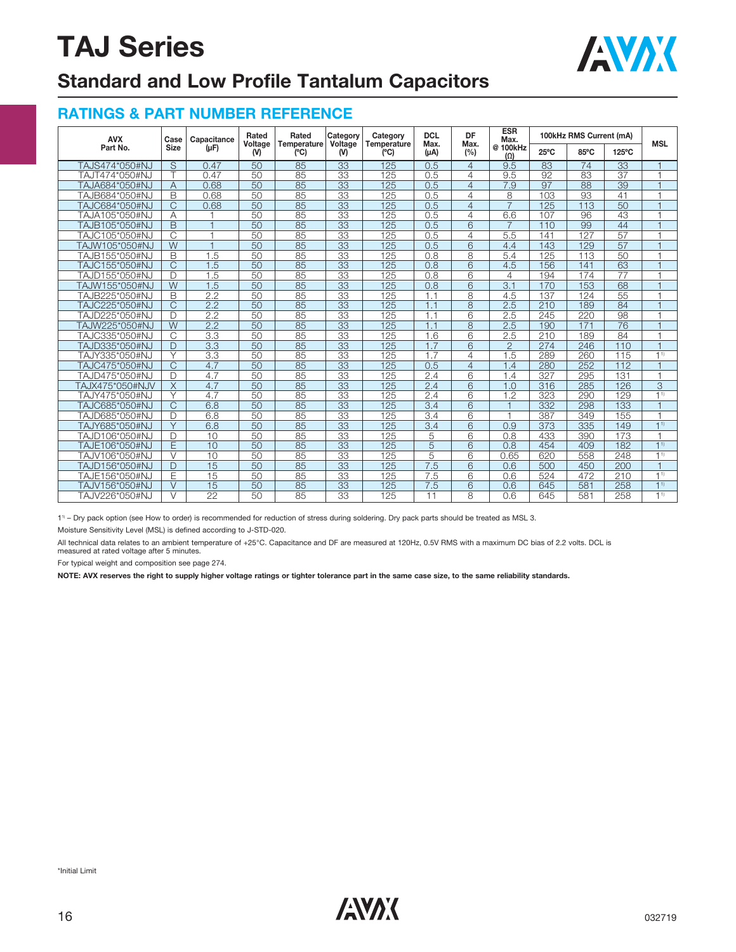

## **Standard and Low Profile Tantalum Capacitors**

#### **RATINGS & PART NUMBER REFERENCE**

| <b>AVX</b>      | Case                    | Capacitance      | Rated<br>Voltage | Rated<br>Temperature | Category<br>Voltage | Category<br><b>Temperature</b> | <b>DCL</b><br>Max. | DF<br>Max.<br>(%)       | <b>ESR</b><br>Max.     | 100kHz RMS Current (mA) | <b>MSL</b>      |                 |                |
|-----------------|-------------------------|------------------|------------------|----------------------|---------------------|--------------------------------|--------------------|-------------------------|------------------------|-------------------------|-----------------|-----------------|----------------|
| Part No.        | <b>Size</b>             | $(\mu F)$        | (V)              | (C)                  | (V)                 | (°C)                           | $(\mu A)$          |                         | @ 100kHz<br>$(\Omega)$ | $25^{\circ}$ C          | 85°C            | 125°C           |                |
| TAJS474*050#NJ  | $\overline{\mathsf{s}}$ | 0.47             | 50               | 85                   | $\overline{33}$     | 125                            | 0.5                | $\overline{4}$          | 9.5                    | 83                      | $\overline{74}$ | $\overline{33}$ | $\overline{1}$ |
| TAJT474*050#NJ  | $\overline{\top}$       | 0.47             | 50               | 85                   | $\overline{33}$     | 125                            | 0.5                | 4                       | 9.5                    | 92                      | 83              | $\overline{37}$ | $\overline{1}$ |
| TAJA684*050#NJ  | $\overline{A}$          | 0.68             | 50               | 85                   | $\overline{33}$     | 125                            | 0.5                | $\overline{4}$          | 7.9                    | $\overline{97}$         | 88              | 39              | $\overline{1}$ |
| TAJB684*050#NJ  | B                       | 0.68             | 50               | 85                   | 33                  | 125                            | 0.5                | 4                       | 8                      | 103                     | 93              | 41              | $\overline{1}$ |
| TAJC684*050#NJ  | $\overline{C}$          | 0.68             | 50               | 85                   | $\overline{33}$     | 125                            | 0.5                | $\overline{4}$          | $\overline{7}$         | 125                     | 113             | 50              | $\overline{1}$ |
| TAJA105*050#NJ  | A                       | H                | 50               | 85                   | 33                  | 125                            | 0.5                | 4                       | 6.6                    | 107                     | 96              | 43              | $\overline{1}$ |
| TAJB105*050#NJ  | B                       | $\overline{1}$   | 50               | 85                   | $\overline{33}$     | 125                            | 0.5                | 6                       | $\overline{7}$         | 110                     | 99              | 44              | $\overline{1}$ |
| TAJC105*050#NJ  | $\overline{C}$          | $\overline{1}$   | 50               | 85                   | 33                  | 125                            | 0.5                | 4                       | 5.5                    | 141                     | 127             | $\overline{57}$ | $\overline{1}$ |
| TAJW105*050#NJ  | W                       | $\overline{1}$   | 50               | 85                   | 33                  | 125                            | 0.5                | 6                       | 4.4                    | 143                     | 129             | 57              | $\overline{1}$ |
| TAJB155*050#NJ  | B                       | 1.5              | 50               | 85                   | 33                  | 125                            | 0.8                | $\overline{\mathbf{8}}$ | 5.4                    | 125                     | 113             | 50              | $\overline{1}$ |
| TAJC155*050#NJ  | $\overline{C}$          | 1.5              | 50               | 85                   | $\overline{33}$     | 125                            | 0.8                | 6                       | 4.5                    | 156                     | 141             | 63              | $\overline{1}$ |
| TAJD155*050#NJ  | D                       | 1.5              | 50               | 85                   | $\overline{33}$     | 125                            | 0.8                | 6                       | 4                      | 194                     | 174             | 77              | $\overline{1}$ |
| TAJW155*050#NJ  | $\overline{W}$          | $\overline{1.5}$ | 50               | 85                   | $\overline{33}$     | 125                            | 0.8                | 6                       | $\overline{3.1}$       | 170                     | 153             | 68              | $\overline{1}$ |
| TAJB225*050#NJ  | B                       | 2.2              | 50               | $\overline{85}$      | $\overline{33}$     | 125                            | 1.1                | 8                       | 4.5                    | 137                     | 124             | 55              | $\overline{1}$ |
| TAJC225*050#NJ  | $\overline{C}$          | $\overline{2.2}$ | $\overline{50}$  | 85                   | $\overline{33}$     | 125                            | 1.1                | $\overline{8}$          | 2.5                    | 210                     | 189             | $\overline{84}$ | $\overline{1}$ |
| TAJD225*050#NJ  | D                       | 2.2              | 50               | 85                   | $\overline{33}$     | 125                            | 1.1                | 6                       | 2.5                    | 245                     | 220             | 98              | $\overline{1}$ |
| TAJW225*050#NJ  | $\overline{W}$          | $\overline{2.2}$ | 50               | 85                   | $\overline{33}$     | 125                            | 1.1                | 8                       | 2.5                    | 190                     | 171             | 76              | $\overline{1}$ |
| TAJC335*050#NJ  | C                       | 3.3              | 50               | 85                   | 33                  | 125                            | 1.6                | 6                       | 2.5                    | 210                     | 189             | 84              | $\overline{1}$ |
| TAJD335*050#NJ  | D                       | 3.3              | 50               | 85                   | $\overline{33}$     | 125                            | 1.7                | $\overline{6}$          | $\overline{2}$         | 274                     | 246             | 110             | $\overline{1}$ |
| TAJY335*050#NJ  | $\vee$                  | 3.3              | 50               | 85                   | 33                  | 125                            | 1.7                | $\overline{4}$          | 1.5                    | 289                     | 260             | 115             | 1 <sup>1</sup> |
| TAJC475*050#NJ  | C                       | 4.7              | 50               | 85                   | $\overline{33}$     | 125                            | 0.5                | $\overline{4}$          | 1.4                    | 280                     | 252             | 112             | $\overline{1}$ |
| TAJD475*050#NJ  | D                       | 4.7              | 50               | $\overline{85}$      | $\overline{33}$     | 125                            | 2.4                | 6                       | 1.4                    | 327                     | 295             | 131             | $\overline{1}$ |
| TAJX475*050#NJV | $\overline{\mathsf{X}}$ | 4.7              | 50               | $\overline{85}$      | $\overline{33}$     | 125                            | 2.4                | $\overline{6}$          | 1.0                    | 316                     | 285             | 126             | $\overline{3}$ |
| TAJY475*050#NJ  | ٧                       | 4.7              | 50               | 85                   | 33                  | 125                            | 2.4                | 6                       | 1.2                    | 323                     | 290             | 129             | 1 <sup>1</sup> |
| TAJC685*050#NJ  | C                       | 6.8              | 50               | $\overline{85}$      | $\overline{33}$     | 125                            | 3.4                | $\overline{6}$          | $\overline{1}$         | 332                     | 298             | 133             | $\overline{1}$ |
| TAJD685*050#NJ  | D                       | 6.8              | 50               | $\overline{85}$      | $\overline{33}$     | 125                            | 3.4                | $\overline{6}$          | $\overline{1}$         | 387                     | 349             | 155             | $\overline{1}$ |
| TAJY685*050#NJ  | $\overline{\vee}$       | 6.8              | 50               | $\overline{85}$      | $\overline{33}$     | 125                            | 3.4                | $\overline{6}$          | 0.9                    | 373                     | 335             | 149             | 1 <sup>1</sup> |
| TAJD106*050#NJ  | D                       | 10               | 50               | 85                   | $\overline{33}$     | 125                            | 5                  | $\overline{6}$          | 0.8                    | 433                     | 390             | 173             | F              |
| TAJE106*050#NJ  | Ē                       | 10               | 50               | 85                   | $\overline{33}$     | 125                            | $\overline{5}$     | $\overline{6}$          | 0.8                    | 454                     | 409             | 182             | 11             |
| TAJV106*050#NJ  | $\vee$                  | 10               | 50               | 85                   | $\overline{33}$     | 125                            | $\overline{5}$     | 6                       | 0.65                   | 620                     | 558             | 248             | 11             |
| TAJD156*050#NJ  | D                       | $\overline{15}$  | $\overline{50}$  | 85                   | $\overline{33}$     | 125                            | 7.5                | $\overline{6}$          | 0.6                    | 500                     | 450             | 200             | $\overline{1}$ |
| TAJE156*050#NJ  | E                       | 15               | 50               | 85                   | 33                  | 125                            | 7.5                | 6                       | 0.6                    | 524                     | 472             | 210             | 11             |
| TAJV156*050#NJ  | $\vee$                  | 15               | 50               | 85                   | 33                  | 125                            | 7.5                | 6                       | 0.6                    | 645                     | 581             | 258             | 1 <sup>1</sup> |
| TAJV226*050#NJ  | $\vee$                  | $\overline{22}$  | 50               | 85                   | 33                  | 125                            | 11                 | 8                       | 0.6                    | 645                     | 581             | 258             | 11             |

11) – Dry pack option (see How to order) is recommended for reduction of stress during soldering. Dry pack parts should be treated as MSL 3.

Moisture Sensitivity Level (MSL) is defined according to J-STD-020.

All technical data relates to an ambient temperature of +25°C. Capacitance and DF are measured at 120Hz, 0.5V RMS with a maximum DC bias of 2.2 volts. DCL is measured at rated voltage after 5 minutes.

For typical weight and composition see page 274.

**NOTE: AVX reserves the right to supply higher voltage ratings or tighter tolerance part in the same case size, to the same reliability standards.**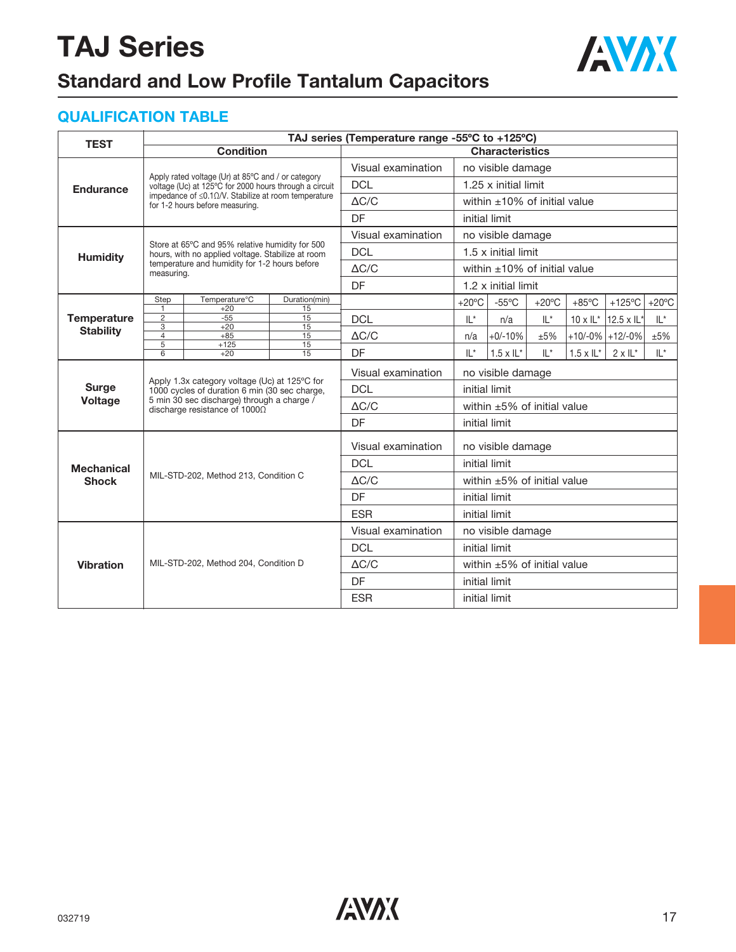

## **Standard and Low Profile Tantalum Capacitors**

### **QUALIFICATION TABLE**

| <b>TEST</b>                            | TAJ series (Temperature range -55°C to +125°C) |                                                                                                |                     |                    |                                    |                        |                 |                    |                              |                 |  |  |
|----------------------------------------|------------------------------------------------|------------------------------------------------------------------------------------------------|---------------------|--------------------|------------------------------------|------------------------|-----------------|--------------------|------------------------------|-----------------|--|--|
|                                        |                                                | <b>Condition</b>                                                                               |                     |                    |                                    | <b>Characteristics</b> |                 |                    |                              |                 |  |  |
| <b>Endurance</b>                       |                                                | Apply rated voltage (Ur) at 85°C and / or category                                             |                     | Visual examination | no visible damage                  |                        |                 |                    |                              |                 |  |  |
|                                        |                                                | voltage (Uc) at 125°C for 2000 hours through a circuit                                         |                     | <b>DCL</b>         | 1.25 x initial limit               |                        |                 |                    |                              |                 |  |  |
|                                        |                                                | impedance of $\leq$ 0.10/V. Stabilize at room temperature<br>for 1-2 hours before measuring.   |                     | $\Delta C/C$       | within $\pm 10\%$ of initial value |                        |                 |                    |                              |                 |  |  |
|                                        |                                                |                                                                                                |                     | DF                 | initial limit                      |                        |                 |                    |                              |                 |  |  |
|                                        |                                                | Store at 65°C and 95% relative humidity for 500                                                |                     | Visual examination | no visible damage                  |                        |                 |                    |                              |                 |  |  |
| <b>Humidity</b>                        |                                                | hours, with no applied voltage. Stabilize at room                                              |                     | <b>DCL</b>         | $1.5 \times$ initial limit         |                        |                 |                    |                              |                 |  |  |
|                                        | measuring.                                     | temperature and humidity for 1-2 hours before                                                  |                     | $\triangle$ C/C    | within $\pm 10\%$ of initial value |                        |                 |                    |                              |                 |  |  |
|                                        |                                                |                                                                                                |                     | DF                 | 1.2 x initial limit                |                        |                 |                    |                              |                 |  |  |
| <b>Temperature</b><br><b>Stability</b> | Step<br>$\overline{1}$                         | Temperature°C<br>$+20$                                                                         | Duration(min)<br>15 |                    | $+20^{\circ}$ C                    | $-55^{\circ}$ C        | $+20^{\circ}$ C | $+85^{\circ}$ C    | +125 $\degree$ C             | $+20^{\circ}$ C |  |  |
|                                        | $\overline{2}$<br>$\overline{3}$               | $-55$<br>$+20$                                                                                 | 15                  | <b>DCL</b>         | $IL^*$                             | n/a                    | $IL^*$          |                    | $10 \times I L^*$ 12.5 x IL* | $IL^*$          |  |  |
|                                        | $\overline{4}$                                 | $+85$                                                                                          | 15<br>15            | $\triangle$ C/C    | n/a                                | $+0/-10%$              | ±5%             |                    | $+10/-0\%$ +12/-0%           | ±5%             |  |  |
|                                        | $\overline{5}$<br>6                            | $+125$<br>$+20$                                                                                | 15<br>15            | <b>DF</b>          | $   *$                             | $1.5 \times I L^*$     | $   *$          | $1.5 \times I L^*$ | $2 \times 11^{*}$            | $   *$          |  |  |
|                                        |                                                |                                                                                                |                     | Visual examination | no visible damage                  |                        |                 |                    |                              |                 |  |  |
| <b>Surge</b>                           |                                                | Apply 1.3x category voltage (Uc) at 125°C for<br>1000 cycles of duration 6 min (30 sec charge, |                     | <b>DCL</b>         | initial limit                      |                        |                 |                    |                              |                 |  |  |
| <b>Voltage</b>                         |                                                | 5 min 30 sec discharge) through a charge /<br>discharge resistance of 10000                    |                     | $\Delta C/C$       | within $\pm 5\%$ of initial value  |                        |                 |                    |                              |                 |  |  |
|                                        |                                                |                                                                                                |                     | <b>DF</b>          | initial limit                      |                        |                 |                    |                              |                 |  |  |
|                                        |                                                |                                                                                                |                     | Visual examination | no visible damage                  |                        |                 |                    |                              |                 |  |  |
| <b>Mechanical</b>                      |                                                |                                                                                                |                     | <b>DCL</b>         | initial limit                      |                        |                 |                    |                              |                 |  |  |
| <b>Shock</b>                           |                                                | MIL-STD-202, Method 213, Condition C                                                           |                     | $\triangle$ C/C    | within $\pm 5\%$ of initial value  |                        |                 |                    |                              |                 |  |  |
|                                        |                                                |                                                                                                |                     | <b>DF</b>          |                                    | initial limit          |                 |                    |                              |                 |  |  |
|                                        |                                                |                                                                                                |                     | <b>ESR</b>         |                                    | initial limit          |                 |                    |                              |                 |  |  |
|                                        |                                                |                                                                                                |                     | Visual examination |                                    | no visible damage      |                 |                    |                              |                 |  |  |
|                                        |                                                |                                                                                                |                     | <b>DCL</b>         | initial limit                      |                        |                 |                    |                              |                 |  |  |
| <b>Vibration</b>                       |                                                | MIL-STD-202, Method 204, Condition D                                                           |                     | $\triangle C/C$    | within $\pm 5\%$ of initial value  |                        |                 |                    |                              |                 |  |  |
|                                        |                                                |                                                                                                |                     | <b>DF</b>          | initial limit                      |                        |                 |                    |                              |                 |  |  |
|                                        |                                                |                                                                                                |                     | <b>ESR</b>         |                                    | initial limit          |                 |                    |                              |                 |  |  |